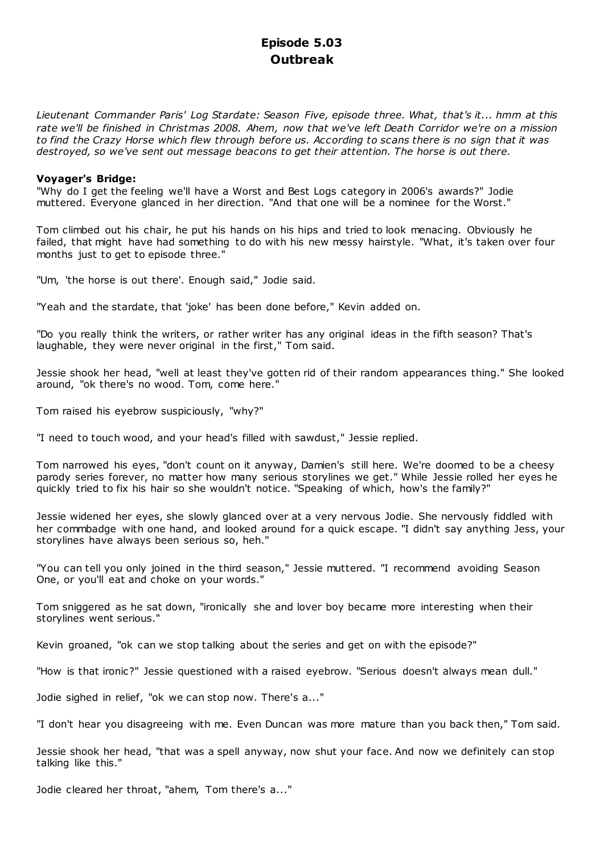# **Episode 5.03 Outbreak**

*Lieutenant Commander Paris' Log Stardate: Season Five, episode three. What, that's it... hmm at this rate we'll be finished in Christmas 2008. Ahem, now that we've left Death Corridor we're on a mission to find the Crazy Horse which flew through before us. According to scans there is no sign that it was destroyed, so we've sent out message beacons to get their attention. The horse is out there.*

### **Voyager's Bridge:**

"Why do I get the feeling we'll have a Worst and Best Logs category in 2006's awards?" Jodie muttered. Everyone glanced in her direction. "And that one will be a nominee for the Worst."

Tom climbed out his chair, he put his hands on his hips and tried to look menacing. Obviously he failed, that might have had something to do with his new messy hairstyle. "What, it's taken over four months just to get to episode three."

"Um, 'the horse is out there'. Enough said," Jodie said.

"Yeah and the stardate, that 'joke' has been done before," Kevin added on.

"Do you really think the writers, or rather writer has any original ideas in the fifth season? That's laughable, they were never original in the first," Tom said.

Jessie shook her head, "well at least they've gotten rid of their random appearances thing." She looked around, "ok there's no wood. Tom, come here."

Tom raised his eyebrow suspiciously, "why?"

"I need to touch wood, and your head's filled with sawdust," Jessie replied.

Tom narrowed his eyes, "don't count on it anyway, Damien's still here. We're doomed to be a cheesy parody series forever, no matter how many serious storylines we get." While Jessie rolled her eyes he quickly tried to fix his hair so she wouldn't notice. "Speaking of which, how's the family?"

Jessie widened her eyes, she slowly glanced over at a very nervous Jodie. She nervously fiddled with her commbadge with one hand, and looked around for a quick escape. "I didn't say anything Jess, your storylines have always been serious so, heh."

"You can tell you only joined in the third season," Jessie muttered. "I recommend avoiding Season One, or you'll eat and choke on your words."

Tom sniggered as he sat down, "ironically she and lover boy became more interesting when their storylines went serious."

Kevin groaned, "ok can we stop talking about the series and get on with the episode?"

"How is that ironic?" Jessie questioned with a raised eyebrow. "Serious doesn't always mean dull."

Jodie sighed in relief, "ok we can stop now. There's a..."

"I don't hear you disagreeing with me. Even Duncan was more mature than you back then," Tom said.

Jessie shook her head, "that was a spell anyway, now shut your face. And now we definitely can stop talking like this."

Jodie cleared her throat, "ahem, Tom there's a..."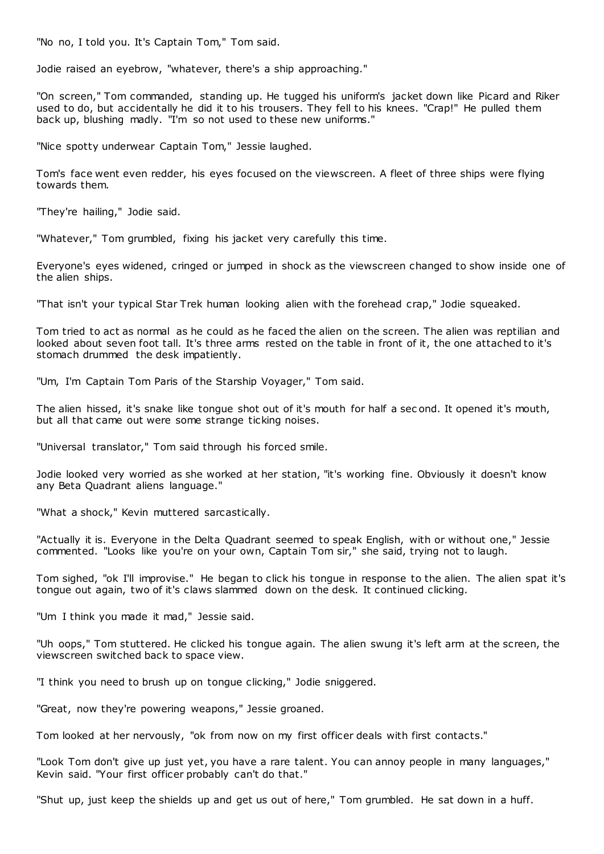"No no, I told you. It's Captain Tom," Tom said.

Jodie raised an eyebrow, "whatever, there's a ship approaching."

"On screen," Tom commanded, standing up. He tugged his uniform's jacket down like Picard and Riker used to do, but accidentally he did it to his trousers. They fell to his knees. "Crap!" He pulled them back up, blushing madly. "I'm so not used to these new uniforms."

"Nice spotty underwear Captain Tom," Jessie laughed.

Tom's face went even redder, his eyes focused on the viewscreen. A fleet of three ships were flying towards them.

"They're hailing," Jodie said.

"Whatever," Tom grumbled, fixing his jacket very carefully this time.

Everyone's eyes widened, cringed or jumped in shock as the viewscreen changed to show inside one of the alien ships.

"That isn't your typical Star Trek human looking alien with the forehead crap," Jodie squeaked.

Tom tried to act as normal as he could as he faced the alien on the screen. The alien was reptilian and looked about seven foot tall. It's three arms rested on the table in front of it, the one attached to it's stomach drummed the desk impatiently.

"Um, I'm Captain Tom Paris of the Starship Voyager," Tom said.

The alien hissed, it's snake like tongue shot out of it's mouth for half a sec ond. It opened it's mouth, but all that came out were some strange ticking noises.

"Universal translator," Tom said through his forced smile.

Jodie looked very worried as she worked at her station, "it's working fine. Obviously it doesn't know any Beta Quadrant aliens language."

"What a shock," Kevin muttered sarcastically.

"Actually it is. Everyone in the Delta Quadrant seemed to speak English, with or without one," Jessie commented. "Looks like you're on your own, Captain Tom sir," she said, trying not to laugh.

Tom sighed, "ok I'll improvise." He began to click his tongue in response to the alien. The alien spat it's tongue out again, two of it's claws slammed down on the desk. It continued clicking.

"Um I think you made it mad," Jessie said.

"Uh oops," Tom stuttered. He clicked his tongue again. The alien swung it's left arm at the screen, the viewscreen switched back to space view.

"I think you need to brush up on tongue clicking," Jodie sniggered.

"Great, now they're powering weapons," Jessie groaned.

Tom looked at her nervously, "ok from now on my first officer deals with first contacts."

"Look Tom don't give up just yet, you have a rare talent. You can annoy people in many languages," Kevin said. "Your first officer probably can't do that."

"Shut up, just keep the shields up and get us out of here," Tom grumbled. He sat down in a huff.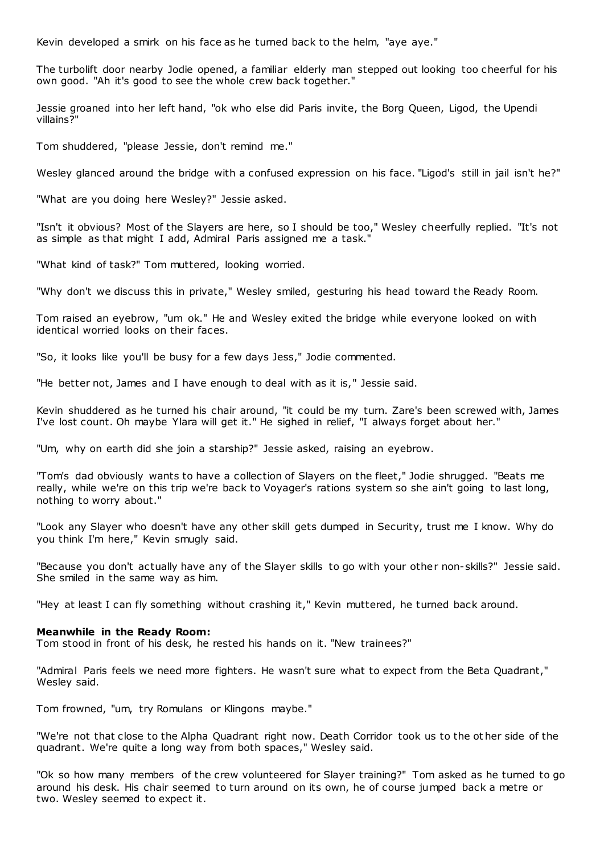Kevin developed a smirk on his face as he turned back to the helm, "aye aye."

The turbolift door nearby Jodie opened, a familiar elderly man stepped out looking too cheerful for his own good. "Ah it's good to see the whole crew back together."

Jessie groaned into her left hand, "ok who else did Paris invite, the Borg Queen, Ligod, the Upendi villains?"

Tom shuddered, "please Jessie, don't remind me."

Wesley glanced around the bridge with a confused expression on his face. "Ligod's still in jail isn't he?"

"What are you doing here Wesley?" Jessie asked.

"Isn't it obvious? Most of the Slayers are here, so I should be too," Wesley cheerfully replied. "It's not as simple as that might I add, Admiral Paris assigned me a task."

"What kind of task?" Tom muttered, looking worried.

"Why don't we discuss this in private," Wesley smiled, gesturing his head toward the Ready Room.

Tom raised an eyebrow, "um ok." He and Wesley exited the bridge while everyone looked on with identical worried looks on their faces.

"So, it looks like you'll be busy for a few days Jess," Jodie commented.

"He better not, James and I have enough to deal with as it is," Jessie said.

Kevin shuddered as he turned his chair around, "it could be my turn. Zare's been screwed with, James I've lost count. Oh maybe Ylara will get it." He sighed in relief, "I always forget about her."

"Um, why on earth did she join a starship?" Jessie asked, raising an eyebrow.

"Tom's dad obviously wants to have a collection of Slayers on the fleet," Jodie shrugged. "Beats me really, while we're on this trip we're back to Voyager's rations system so she ain't going to last long, nothing to worry about."

"Look any Slayer who doesn't have any other skill gets dumped in Security, trust me I know. Why do you think I'm here," Kevin smugly said.

"Because you don't actually have any of the Slayer skills to go with your other non-skills?" Jessie said. She smiled in the same way as him.

"Hey at least I can fly something without crashing it," Kevin muttered, he turned back around.

### **Meanwhile in the Ready Room:**

Tom stood in front of his desk, he rested his hands on it. "New trainees?"

"Admiral Paris feels we need more fighters. He wasn't sure what to expect from the Beta Quadrant," Wesley said.

Tom frowned, "um, try Romulans or Klingons maybe."

"We're not that close to the Alpha Quadrant right now. Death Corridor took us to the ot her side of the quadrant. We're quite a long way from both spaces," Wesley said.

"Ok so how many members of the crew volunteered for Slayer training?" Tom asked as he turned to go around his desk. His chair seemed to turn around on its own, he of course jumped back a metre or two. Wesley seemed to expect it.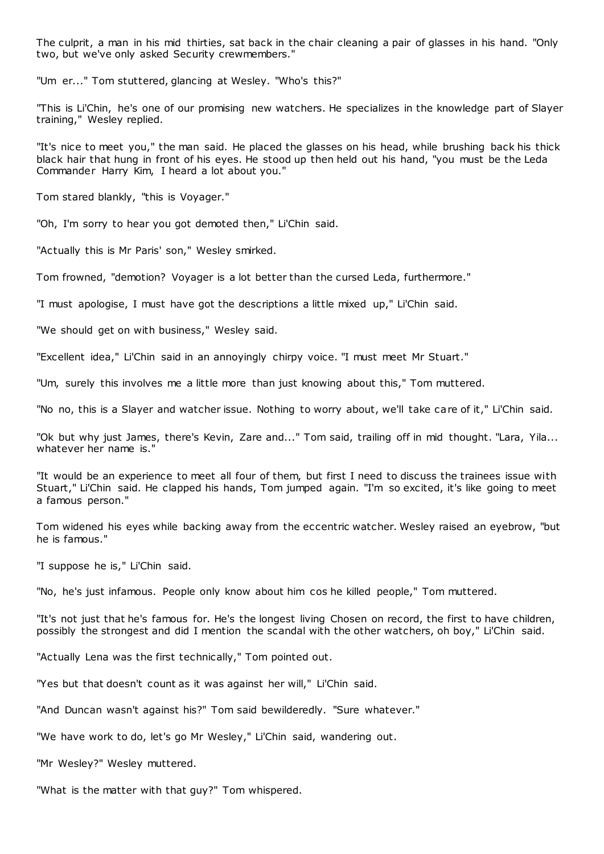The culprit, a man in his mid thirties, sat back in the chair cleaning a pair of glasses in his hand. "Only two, but we've only asked Security crewmembers."

"Um er..." Tom stuttered, glancing at Wesley. "Who's this?"

"This is Li'Chin, he's one of our promising new watchers. He specializes in the knowledge part of Slayer training," Wesley replied.

"It's nice to meet you," the man said. He placed the glasses on his head, while brushing back his thick black hair that hung in front of his eyes. He stood up then held out his hand, "you must be the Leda Commander Harry Kim, I heard a lot about you."

Tom stared blankly, "this is Voyager."

"Oh, I'm sorry to hear you got demoted then," Li'Chin said.

"Actually this is Mr Paris' son," Wesley smirked.

Tom frowned, "demotion? Voyager is a lot better than the cursed Leda, furthermore."

"I must apologise, I must have got the descriptions a little mixed up," Li'Chin said.

"We should get on with business," Wesley said.

"Excellent idea," Li'Chin said in an annoyingly chirpy voice. "I must meet Mr Stuart."

"Um, surely this involves me a little more than just knowing about this," Tom muttered.

"No no, this is a Slayer and watcher issue. Nothing to worry about, we'll take care of it," Li'Chin said.

"Ok but why just James, there's Kevin, Zare and..." Tom said, trailing off in mid thought. "Lara, Yila... whatever her name is."

"It would be an experience to meet all four of them, but first I need to discuss the trainees issue with Stuart," Li'Chin said. He clapped his hands, Tom jumped again. "I'm so excited, it's like going to meet a famous person."

Tom widened his eyes while backing away from the eccentric watcher. Wesley raised an eyebrow, "but he is famous."

"I suppose he is," Li'Chin said.

"No, he's just infamous. People only know about him cos he killed people," Tom muttered.

"It's not just that he's famous for. He's the longest living Chosen on record, the first to have children, possibly the strongest and did I mention the scandal with the other watchers, oh boy," Li'Chin said.

"Actually Lena was the first technically," Tom pointed out.

"Yes but that doesn't count as it was against her will," Li'Chin said.

"And Duncan wasn't against his?" Tom said bewilderedly. "Sure whatever."

"We have work to do, let's go Mr Wesley," Li'Chin said, wandering out.

"Mr Wesley?" Wesley muttered.

"What is the matter with that guy?" Tom whispered.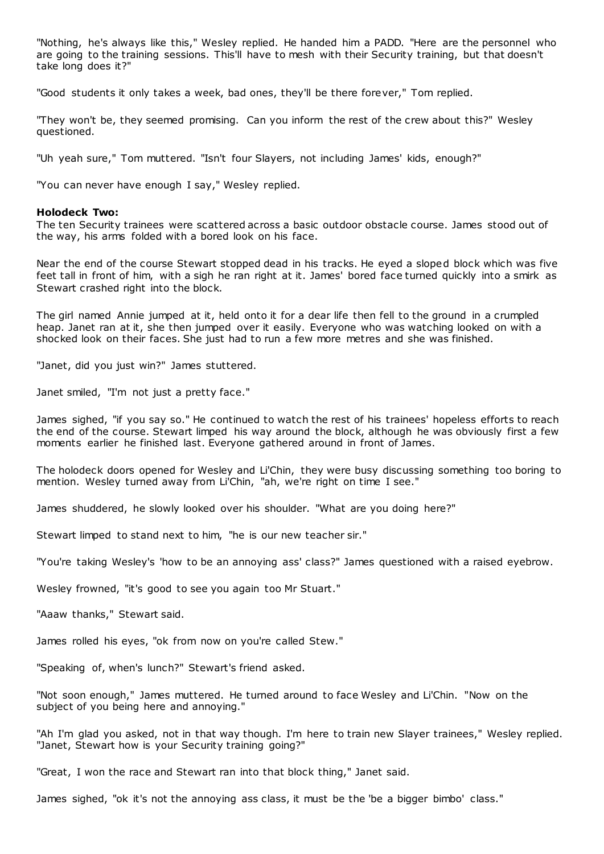"Nothing, he's always like this," Wesley replied. He handed him a PADD. "Here are the personnel who are going to the training sessions. This'll have to mesh with their Security training, but that doesn't take long does it?"

"Good students it only takes a week, bad ones, they'll be there forever," Tom replied.

"They won't be, they seemed promising. Can you inform the rest of the crew about this?" Wesley questioned.

"Uh yeah sure," Tom muttered. "Isn't four Slayers, not including James' kids, enough?"

"You can never have enough I say," Wesley replied.

#### **Holodeck Two:**

The ten Security trainees were scattered across a basic outdoor obstacle course. James stood out of the way, his arms folded with a bored look on his face.

Near the end of the course Stewart stopped dead in his tracks. He eyed a sloped block which was five feet tall in front of him, with a sigh he ran right at it. James' bored face turned quickly into a smirk as Stewart crashed right into the block.

The girl named Annie jumped at it, held onto it for a dear life then fell to the ground in a crumpled heap. Janet ran at it, she then jumped over it easily. Everyone who was watching looked on with a shocked look on their faces. She just had to run a few more metres and she was finished.

"Janet, did you just win?" James stuttered.

Janet smiled, "I'm not just a pretty face."

James sighed, "if you say so." He continued to watch the rest of his trainees' hopeless efforts to reach the end of the course. Stewart limped his way around the block, although he was obviously first a few moments earlier he finished last. Everyone gathered around in front of James.

The holodeck doors opened for Wesley and Li'Chin, they were busy discussing something too boring to mention. Wesley turned away from Li'Chin, "ah, we're right on time I see."

James shuddered, he slowly looked over his shoulder. "What are you doing here?"

Stewart limped to stand next to him, "he is our new teacher sir."

"You're taking Wesley's 'how to be an annoying ass' class?" James questioned with a raised eyebrow.

Wesley frowned, "it's good to see you again too Mr Stuart."

"Aaaw thanks," Stewart said.

James rolled his eyes, "ok from now on you're called Stew."

"Speaking of, when's lunch?" Stewart's friend asked.

"Not soon enough," James muttered. He turned around to face Wesley and Li'Chin. "Now on the subject of you being here and annoying."

"Ah I'm glad you asked, not in that way though. I'm here to train new Slayer trainees," Wesley replied. "Janet, Stewart how is your Security training going?"

"Great, I won the race and Stewart ran into that block thing," Janet said.

James sighed, "ok it's not the annoying ass class, it must be the 'be a bigger bimbo' class."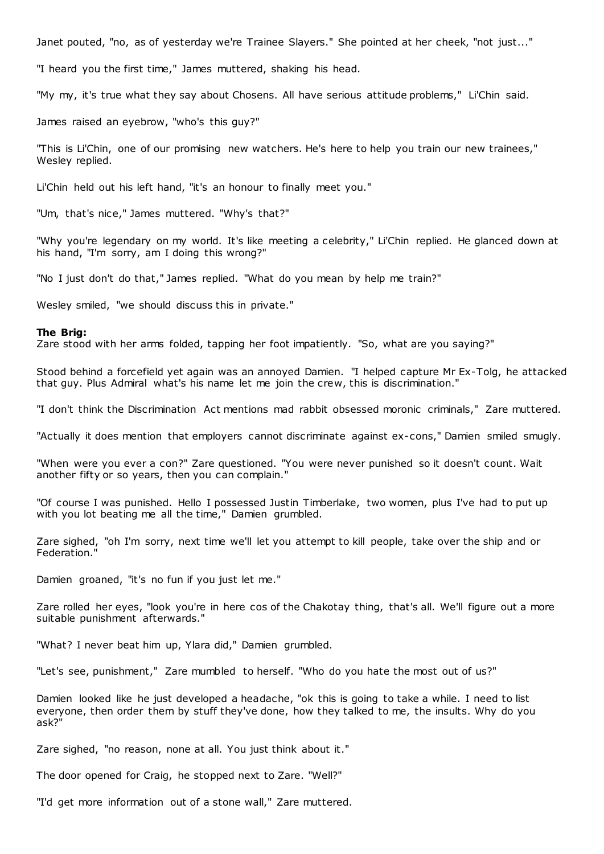Janet pouted, "no, as of yesterday we're Trainee Slayers." She pointed at her cheek, "not just..."

"I heard you the first time," James muttered, shaking his head.

"My my, it's true what they say about Chosens. All have serious attitude problems," Li'Chin said.

James raised an eyebrow, "who's this guy?"

"This is Li'Chin, one of our promising new watchers. He's here to help you train our new trainees," Wesley replied.

Li'Chin held out his left hand, "it's an honour to finally meet you."

"Um, that's nice," James muttered. "Why's that?"

"Why you're legendary on my world. It's like meeting a celebrity," Li'Chin replied. He glanced down at his hand, "I'm sorry, am I doing this wrong?"

"No I just don't do that," James replied. "What do you mean by help me train?"

Wesley smiled, "we should discuss this in private."

#### **The Brig:**

Zare stood with her arms folded, tapping her foot impatiently. "So, what are you saying?"

Stood behind a forcefield yet again was an annoyed Damien. "I helped capture Mr Ex-Tolg, he attacked that guy. Plus Admiral what's his name let me join the crew, this is discrimination."

"I don't think the Discrimination Act mentions mad rabbit obsessed moronic criminals," Zare muttered.

"Actually it does mention that employers cannot discriminate against ex-cons," Damien smiled smugly.

"When were you ever a con?" Zare questioned. "You were never punished so it doesn't count. Wait another fifty or so years, then you can complain."

"Of course I was punished. Hello I possessed Justin Timberlake, two women, plus I've had to put up with you lot beating me all the time," Damien grumbled.

Zare sighed, "oh I'm sorry, next time we'll let you attempt to kill people, take over the ship and or Federation."

Damien groaned, "it's no fun if you just let me."

Zare rolled her eyes, "look you're in here cos of the Chakotay thing, that's all. We'll figure out a more suitable punishment afterwards."

"What? I never beat him up, Ylara did," Damien grumbled.

"Let's see, punishment," Zare mumbled to herself. "Who do you hate the most out of us?"

Damien looked like he just developed a headache, "ok this is going to take a while. I need to list everyone, then order them by stuff they've done, how they talked to me, the insults. Why do you ask?"

Zare sighed, "no reason, none at all. You just think about it."

The door opened for Craig, he stopped next to Zare. "Well?"

"I'd get more information out of a stone wall," Zare muttered.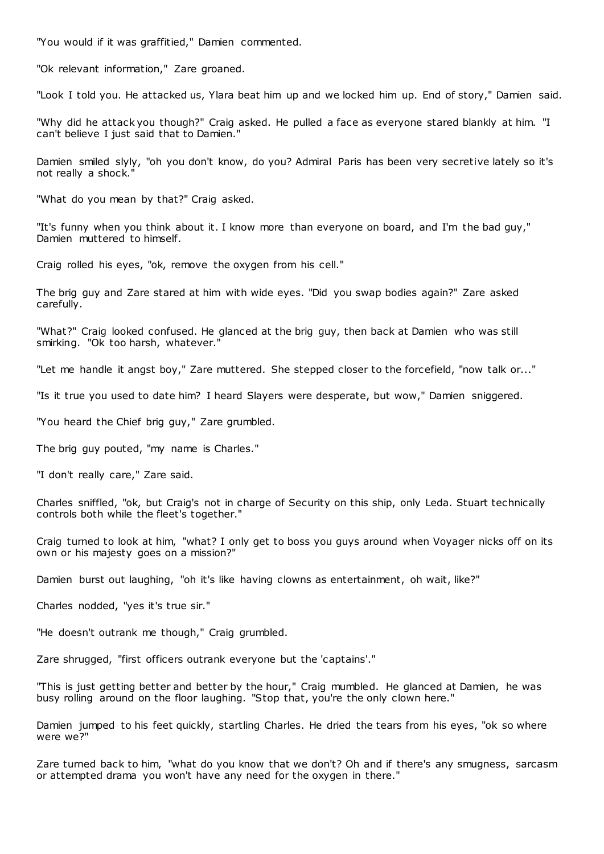"You would if it was graffitied," Damien commented.

"Ok relevant information," Zare groaned.

"Look I told you. He attacked us, Ylara beat him up and we locked him up. End of story," Damien said.

"Why did he attack you though?" Craig asked. He pulled a face as everyone stared blankly at him. "I can't believe I just said that to Damien."

Damien smiled slyly, "oh you don't know, do you? Admiral Paris has been very secretive lately so it's not really a shock."

"What do you mean by that?" Craig asked.

"It's funny when you think about it. I know more than everyone on board, and I'm the bad guy," Damien muttered to himself.

Craig rolled his eyes, "ok, remove the oxygen from his cell."

The brig guy and Zare stared at him with wide eyes. "Did you swap bodies again?" Zare asked carefully.

"What?" Craig looked confused. He glanced at the brig guy, then back at Damien who was still smirking. "Ok too harsh, whatever."

"Let me handle it angst boy," Zare muttered. She stepped closer to the forcefield, "now talk or..."

"Is it true you used to date him? I heard Slayers were desperate, but wow," Damien sniggered.

"You heard the Chief brig guy," Zare grumbled.

The brig guy pouted, "my name is Charles."

"I don't really care," Zare said.

Charles sniffled, "ok, but Craig's not in charge of Security on this ship, only Leda. Stuart technically controls both while the fleet's together."

Craig turned to look at him, "what? I only get to boss you guys around when Voyager nicks off on its own or his majesty goes on a mission?"

Damien burst out laughing, "oh it's like having clowns as entertainment, oh wait, like?"

Charles nodded, "yes it's true sir."

"He doesn't outrank me though," Craig grumbled.

Zare shrugged, "first officers outrank everyone but the 'captains'."

"This is just getting better and better by the hour," Craig mumbled. He glanced at Damien, he was busy rolling around on the floor laughing. "Stop that, you're the only clown here."

Damien jumped to his feet quickly, startling Charles. He dried the tears from his eyes, "ok so where were we?"

Zare turned back to him, "what do you know that we don't? Oh and if there's any smugness, sarcasm or attempted drama you won't have any need for the oxygen in there."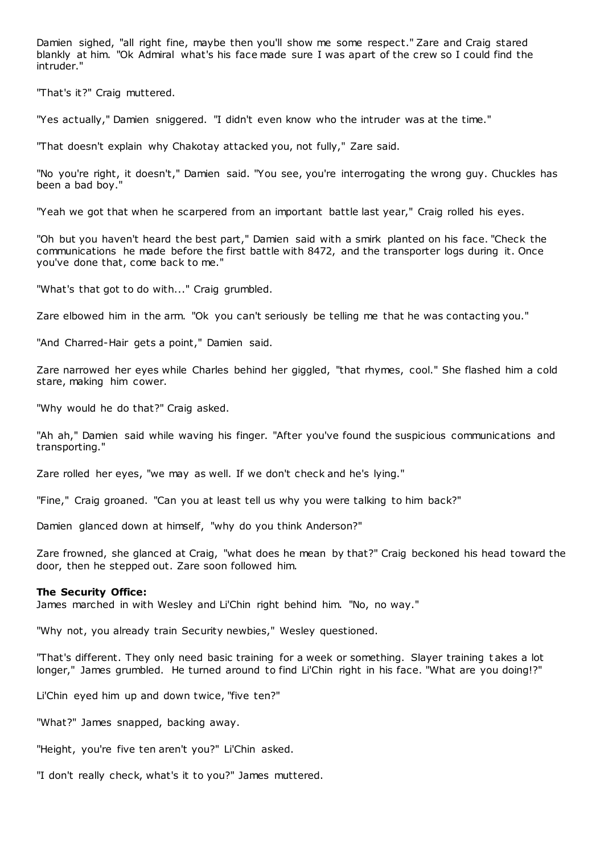Damien sighed, "all right fine, maybe then you'll show me some respect." Zare and Craig stared blankly at him. "Ok Admiral what's his face made sure I was apart of the crew so I could find the intruder."

"That's it?" Craig muttered.

"Yes actually," Damien sniggered. "I didn't even know who the intruder was at the time."

"That doesn't explain why Chakotay attacked you, not fully," Zare said.

"No you're right, it doesn't," Damien said. "You see, you're interrogating the wrong guy. Chuckles has been a bad boy."

"Yeah we got that when he scarpered from an important battle last year," Craig rolled his eyes.

"Oh but you haven't heard the best part," Damien said with a smirk planted on his face. "Check the communications he made before the first battle with 8472, and the transporter logs during it. Once you've done that, come back to me."

"What's that got to do with..." Craig grumbled.

Zare elbowed him in the arm. "Ok you can't seriously be telling me that he was contacting you."

"And Charred-Hair gets a point," Damien said.

Zare narrowed her eyes while Charles behind her giggled, "that rhymes, cool." She flashed him a cold stare, making him cower.

"Why would he do that?" Craig asked.

"Ah ah," Damien said while waving his finger. "After you've found the suspicious communications and transporting."

Zare rolled her eyes, "we may as well. If we don't check and he's lying."

"Fine," Craig groaned. "Can you at least tell us why you were talking to him back?"

Damien glanced down at himself, "why do you think Anderson?"

Zare frowned, she glanced at Craig, "what does he mean by that?" Craig beckoned his head toward the door, then he stepped out. Zare soon followed him.

#### **The Security Office:**

James marched in with Wesley and Li'Chin right behind him. "No, no way."

"Why not, you already train Security newbies," Wesley questioned.

"That's different. They only need basic training for a week or something. Slayer training t akes a lot longer," James grumbled. He turned around to find Li'Chin right in his face. "What are you doing!?"

Li'Chin eyed him up and down twice, "five ten?"

"What?" James snapped, backing away.

"Height, you're five ten aren't you?" Li'Chin asked.

"I don't really check, what's it to you?" James muttered.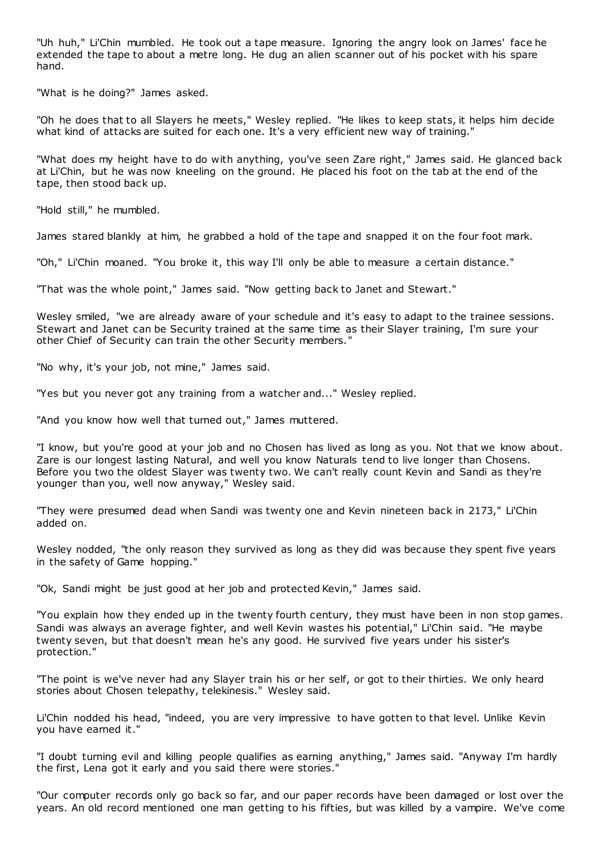"Uh huh," Li'Chin mumbled. He took out a tape measure. Ignoring the angry look on James' face he extended the tape to about a metre long. He dug an alien scanner out of his pocket with his spare hand.

"What is he doing?" James asked.

"Oh he does that to all Slayers he meets," Wesley replied. "He likes to keep stats, it helps him decide what kind of attacks are suited for each one. It's a very efficient new way of training."

"What does my height have to do with anything, you've seen Zare right," James said. He glanced back at Li'Chin, but he was now kneeling on the ground. He placed his foot on the tab at the end of the tape, then stood back up.

"Hold still," he mumbled.

James stared blankly at him, he grabbed a hold of the tape and snapped it on the four foot mark.

"Oh," Li'Chin moaned. "You broke it, this way I'll only be able to measure a certain distance."

"That was the whole point," James said. "Now getting back to Janet and Stewart."

Wesley smiled, "we are already aware of your schedule and it's easy to adapt to the trainee sessions. Stewart and Janet can be Security trained at the same time as their Slayer training, I'm sure your other Chief of Security can train the other Security members."

"No why, it's your job, not mine," James said.

"Yes but you never got any training from a watcher and..." Wesley replied.

"And you know how well that turned out," James muttered.

"I know, but you're good at your job and no Chosen has lived as long as you. Not that we know about. Zare is our longest lasting Natural, and well you know Naturals tend to live longer than Chosens. Before you two the oldest Slayer was twenty two. We can't really count Kevin and Sandi as they're younger than you, well now anyway," Wesley said.

"They were presumed dead when Sandi was twenty one and Kevin nineteen back in 2173," Li'Chin added on.

Wesley nodded, "the only reason they survived as long as they did was because they spent five years in the safety of Game hopping."

"Ok, Sandi might be just good at her job and protected Kevin," James said.

"You explain how they ended up in the twenty fourth century, they must have been in non stop games. Sandi was always an average fighter, and well Kevin wastes his potential," Li'Chin said. "He maybe twenty seven, but that doesn't mean he's any good. He survived five years under his sister's protection."

"The point is we've never had any Slayer train his or her self, or got to their thirties. We only heard stories about Chosen telepathy, telekinesis." Wesley said.

Li'Chin nodded his head, "indeed, you are very impressive to have gotten to that level. Unlike Kevin you have earned it."

"I doubt turning evil and killing people qualifies as earning anything," James said. "Anyway I'm hardly the first, Lena got it early and you said there were stories."

"Our computer records only go back so far, and our paper records have been damaged or lost over the years. An old record mentioned one man getting to his fifties, but was killed by a vampire. We've come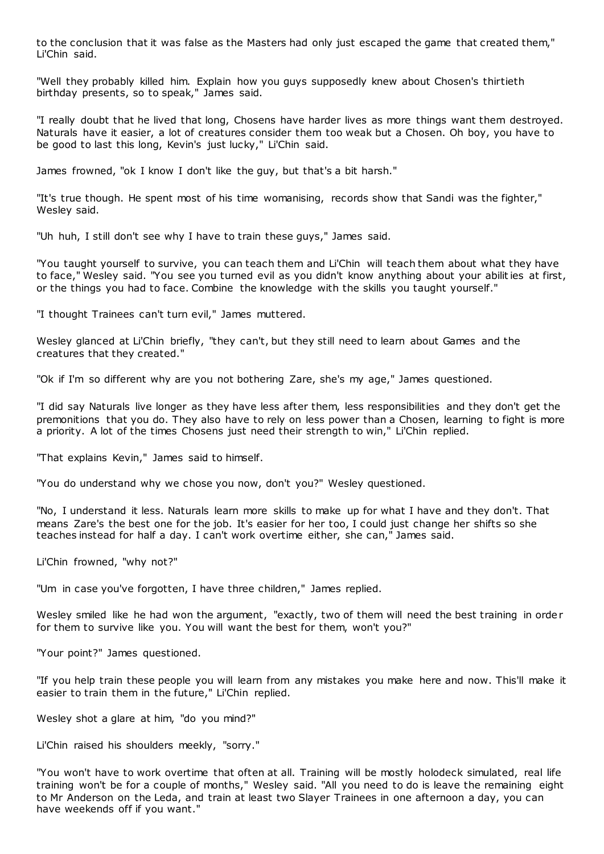to the conclusion that it was false as the Masters had only just escaped the game that created them," Li'Chin said.

"Well they probably killed him. Explain how you guys supposedly knew about Chosen's thirtieth birthday presents, so to speak," James said.

"I really doubt that he lived that long, Chosens have harder lives as more things want them destroyed. Naturals have it easier, a lot of creatures consider them too weak but a Chosen. Oh boy, you have to be good to last this long, Kevin's just lucky," Li'Chin said.

James frowned, "ok I know I don't like the guy, but that's a bit harsh."

"It's true though. He spent most of his time womanising, records show that Sandi was the fighter," Wesley said.

"Uh huh, I still don't see why I have to train these guys," James said.

"You taught yourself to survive, you can teach them and Li'Chin will teach them about what they have to face," Wesley said. "You see you turned evil as you didn't know anything about your abilities at first, or the things you had to face. Combine the knowledge with the skills you taught yourself."

"I thought Trainees can't turn evil," James muttered.

Wesley glanced at Li'Chin briefly, "they can't, but they still need to learn about Games and the creatures that they created."

"Ok if I'm so different why are you not bothering Zare, she's my age," James questioned.

"I did say Naturals live longer as they have less after them, less responsibilities and they don't get the premonitions that you do. They also have to rely on less power than a Chosen, learning to fight is more a priority. A lot of the times Chosens just need their strength to win," Li'Chin replied.

"That explains Kevin," James said to himself.

"You do understand why we chose you now, don't you?" Wesley questioned.

"No, I understand it less. Naturals learn more skills to make up for what I have and they don't. That means Zare's the best one for the job. It's easier for her too, I could just change her shifts so she teaches instead for half a day. I can't work overtime either, she can," James said.

Li'Chin frowned, "why not?"

"Um in case you've forgotten, I have three children," James replied.

Wesley smiled like he had won the argument, "exactly, two of them will need the best training in order for them to survive like you. You will want the best for them, won't you?"

"Your point?" James questioned.

"If you help train these people you will learn from any mistakes you make here and now. This'll make it easier to train them in the future," Li'Chin replied.

Wesley shot a glare at him, "do you mind?"

Li'Chin raised his shoulders meekly, "sorry."

"You won't have to work overtime that often at all. Training will be mostly holodeck simulated, real life training won't be for a couple of months," Wesley said. "All you need to do is leave the remaining eight to Mr Anderson on the Leda, and train at least two Slayer Trainees in one afternoon a day, you can have weekends off if you want."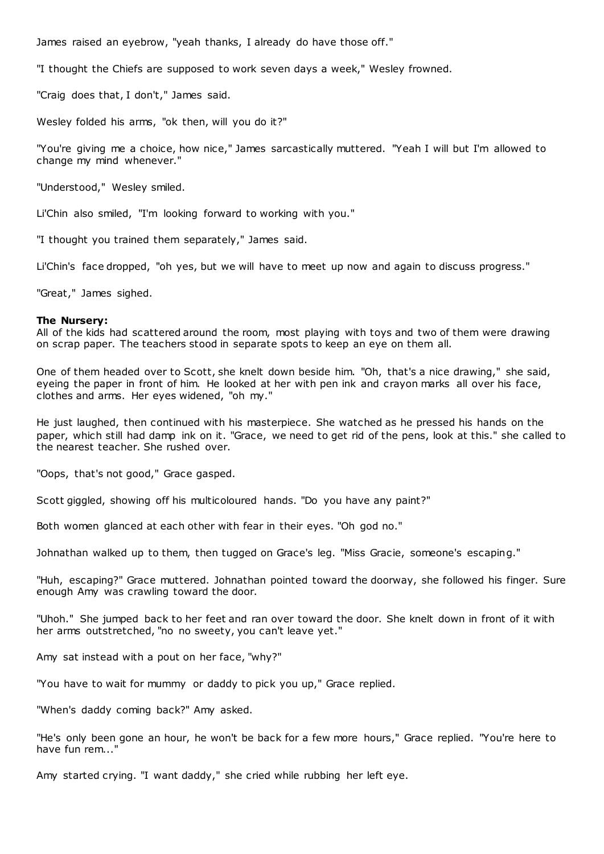James raised an eyebrow, "yeah thanks, I already do have those off."

"I thought the Chiefs are supposed to work seven days a week," Wesley frowned.

"Craig does that, I don't," James said.

Wesley folded his arms, "ok then, will you do it?"

"You're giving me a choice, how nice," James sarcastically muttered. "Yeah I will but I'm allowed to change my mind whenever."

"Understood," Wesley smiled.

Li'Chin also smiled, "I'm looking forward to working with you."

"I thought you trained them separately," James said.

Li'Chin's face dropped, "oh yes, but we will have to meet up now and again to discuss progress."

"Great," James sighed.

#### **The Nursery:**

All of the kids had scattered around the room, most playing with toys and two of them were drawing on scrap paper. The teachers stood in separate spots to keep an eye on them all.

One of them headed over to Scott, she knelt down beside him. "Oh, that's a nice drawing," she said, eyeing the paper in front of him. He looked at her with pen ink and crayon marks all over his face, clothes and arms. Her eyes widened, "oh my."

He just laughed, then continued with his masterpiece. She watched as he pressed his hands on the paper, which still had damp ink on it. "Grace, we need to get rid of the pens, look at this." she called to the nearest teacher. She rushed over.

"Oops, that's not good," Grace gasped.

Scott giggled, showing off his multicoloured hands. "Do you have any paint?"

Both women glanced at each other with fear in their eyes. "Oh god no."

Johnathan walked up to them, then tugged on Grace's leg. "Miss Gracie, someone's escaping."

"Huh, escaping?" Grace muttered. Johnathan pointed toward the doorway, she followed his finger. Sure enough Amy was crawling toward the door.

"Uhoh." She jumped back to her feet and ran over toward the door. She knelt down in front of it with her arms outstretched, "no no sweety, you can't leave yet."

Amy sat instead with a pout on her face, "why?"

"You have to wait for mummy or daddy to pick you up," Grace replied.

"When's daddy coming back?" Amy asked.

"He's only been gone an hour, he won't be back for a few more hours," Grace replied. "You're here to have fun rem..."

Amy started crying. "I want daddy," she cried while rubbing her left eye.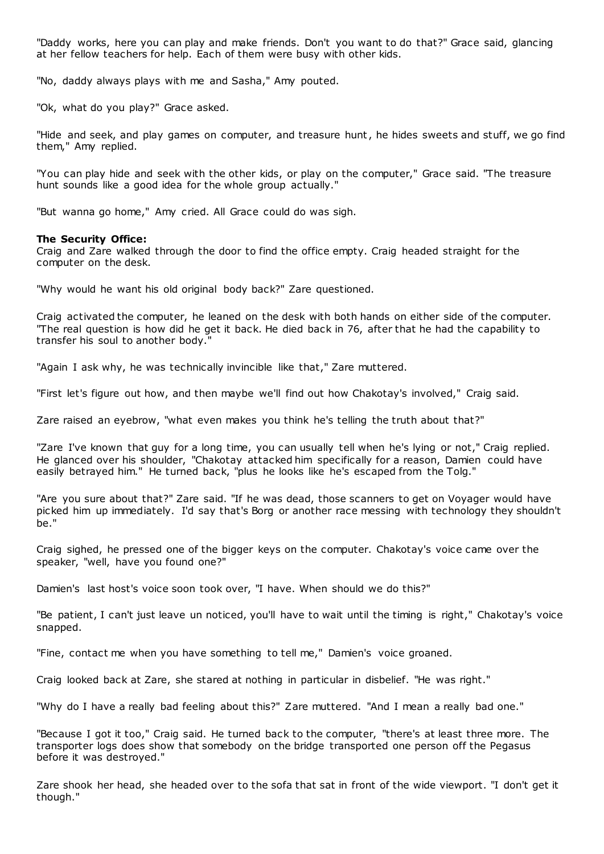"Daddy works, here you can play and make friends. Don't you want to do that?" Grace said, glancing at her fellow teachers for help. Each of them were busy with other kids.

"No, daddy always plays with me and Sasha," Amy pouted.

"Ok, what do you play?" Grace asked.

"Hide and seek, and play games on computer, and treasure hunt, he hides sweets and stuff, we go find them," Amy replied.

"You can play hide and seek with the other kids, or play on the computer," Grace said. "The treasure hunt sounds like a good idea for the whole group actually."

"But wanna go home," Amy cried. All Grace could do was sigh.

### **The Security Office:**

Craig and Zare walked through the door to find the office empty. Craig headed straight for the computer on the desk.

"Why would he want his old original body back?" Zare questioned.

Craig activated the computer, he leaned on the desk with both hands on either side of the computer. "The real question is how did he get it back. He died back in 76, after that he had the capability to transfer his soul to another body."

"Again I ask why, he was technically invincible like that," Zare muttered.

"First let's figure out how, and then maybe we'll find out how Chakotay's involved," Craig said.

Zare raised an eyebrow, "what even makes you think he's telling the truth about that?"

"Zare I've known that guy for a long time, you can usually tell when he's lying or not," Craig replied. He glanced over his shoulder, "Chakotay attacked him specifically for a reason, Damien could have easily betrayed him." He turned back, "plus he looks like he's escaped from the Tolg."

"Are you sure about that?" Zare said. "If he was dead, those scanners to get on Voyager would have picked him up immediately. I'd say that's Borg or another race messing with technology they shouldn't be."

Craig sighed, he pressed one of the bigger keys on the computer. Chakotay's voice came over the speaker, "well, have you found one?"

Damien's last host's voice soon took over, "I have. When should we do this?"

"Be patient, I can't just leave un noticed, you'll have to wait until the timing is right," Chakotay's voice snapped.

"Fine, contact me when you have something to tell me," Damien's voice groaned.

Craig looked back at Zare, she stared at nothing in particular in disbelief. "He was right."

"Why do I have a really bad feeling about this?" Zare muttered. "And I mean a really bad one."

"Because I got it too," Craig said. He turned back to the computer, "there's at least three more. The transporter logs does show that somebody on the bridge transported one person off the Pegasus before it was destroyed."

Zare shook her head, she headed over to the sofa that sat in front of the wide viewport. "I don't get it though."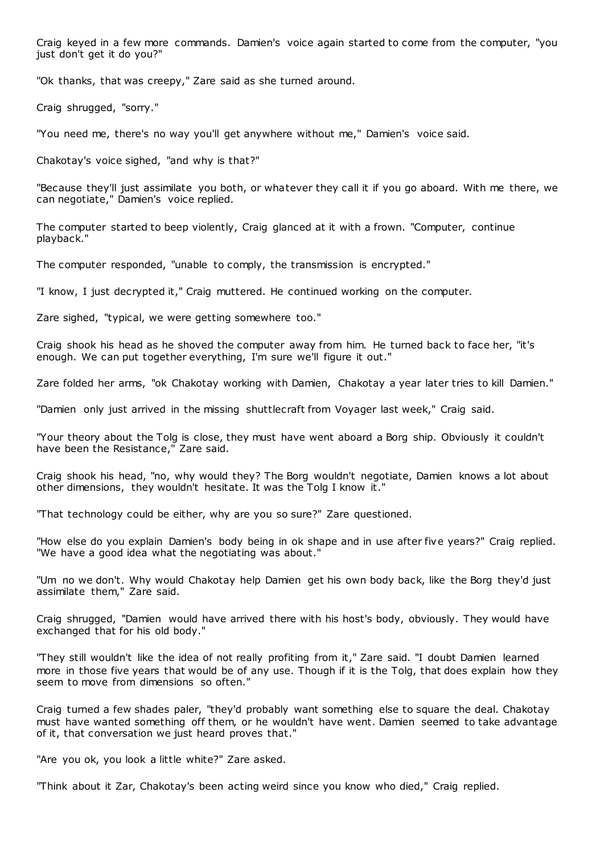Craig keyed in a few more commands. Damien's voice again started to come from the computer, "you just don't get it do you?"

"Ok thanks, that was creepy," Zare said as she turned around.

Craig shrugged, "sorry."

"You need me, there's no way you'll get anywhere without me," Damien's voice said.

Chakotay's voice sighed, "and why is that?"

"Because they'll just assimilate you both, or whatever they call it if you go aboard. With me there, we can negotiate," Damien's voice replied.

The computer started to beep violently, Craig glanced at it with a frown. "Computer, continue playback."

The computer responded, "unable to comply, the transmission is encrypted."

"I know, I just decrypted it," Craig muttered. He continued working on the computer.

Zare sighed, "typical, we were getting somewhere too."

Craig shook his head as he shoved the computer away from him. He turned back to face her, "it's enough. We can put together everything, I'm sure we'll figure it out."

Zare folded her arms, "ok Chakotay working with Damien, Chakotay a year later tries to kill Damien."

"Damien only just arrived in the missing shuttlecraft from Voyager last week," Craig said.

"Your theory about the Tolg is close, they must have went aboard a Borg ship. Obviously it couldn't have been the Resistance," Zare said.

Craig shook his head, "no, why would they? The Borg wouldn't negotiate, Damien knows a lot about other dimensions, they wouldn't hesitate. It was the Tolg I know it."

"That technology could be either, why are you so sure?" Zare questioned.

"How else do you explain Damien's body being in ok shape and in use after five years?" Craig replied. "We have a good idea what the negotiating was about."

"Um no we don't. Why would Chakotay help Damien get his own body back, like the Borg they'd just assimilate them," Zare said.

Craig shrugged, "Damien would have arrived there with his host's body, obviously. They would have exchanged that for his old body."

"They still wouldn't like the idea of not really profiting from it," Zare said. "I doubt Damien learned more in those five years that would be of any use. Though if it is the Tolg, that does explain how they seem to move from dimensions so often."

Craig turned a few shades paler, "they'd probably want something else to square the deal. Chakotay must have wanted something off them, or he wouldn't have went. Damien seemed to take advantage of it, that conversation we just heard proves that."

"Are you ok, you look a little white?" Zare asked.

"Think about it Zar, Chakotay's been acting weird since you know who died," Craig replied.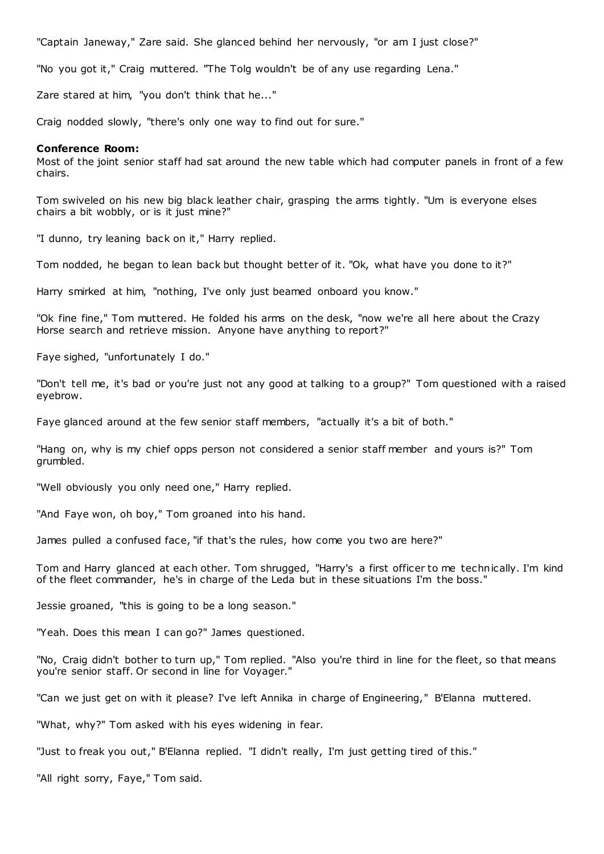"Captain Janeway," Zare said. She glanced behind her nervously, "or am I just close?"

"No you got it," Craig muttered. "The Tolg wouldn't be of any use regarding Lena."

Zare stared at him, "you don't think that he..."

Craig nodded slowly, "there's only one way to find out for sure."

#### **Conference Room:**

Most of the joint senior staff had sat around the new table which had computer panels in front of a few chairs.

Tom swiveled on his new big black leather chair, grasping the arms tightly. "Um is everyone elses chairs a bit wobbly, or is it just mine?"

"I dunno, try leaning back on it," Harry replied.

Tom nodded, he began to lean back but thought better of it. "Ok, what have you done to it?"

Harry smirked at him, "nothing, I've only just beamed onboard you know."

"Ok fine fine," Tom muttered. He folded his arms on the desk, "now we're all here about the Crazy Horse search and retrieve mission. Anyone have anything to report?"

Faye sighed, "unfortunately I do."

"Don't tell me, it's bad or you're just not any good at talking to a group?" Tom questioned with a raised eyebrow.

Faye glanced around at the few senior staff members, "actually it's a bit of both."

"Hang on, why is my chief opps person not considered a senior staff member and yours is?" Tom grumbled.

"Well obviously you only need one," Harry replied.

"And Faye won, oh boy," Tom groaned into his hand.

James pulled a confused face, "if that's the rules, how come you two are here?"

Tom and Harry glanced at each other. Tom shrugged, "Harry's a first officer to me technically. I'm kind of the fleet commander, he's in charge of the Leda but in these situations I'm the boss."

Jessie groaned, "this is going to be a long season."

"Yeah. Does this mean I can go?" James questioned.

"No, Craig didn't bother to turn up," Tom replied. "Also you're third in line for the fleet, so that means you're senior staff. Or second in line for Voyager."

"Can we just get on with it please? I've left Annika in charge of Engineering," B'Elanna muttered.

"What, why?" Tom asked with his eyes widening in fear.

"Just to freak you out," B'Elanna replied. "I didn't really, I'm just getting tired of this."

"All right sorry, Faye," Tom said.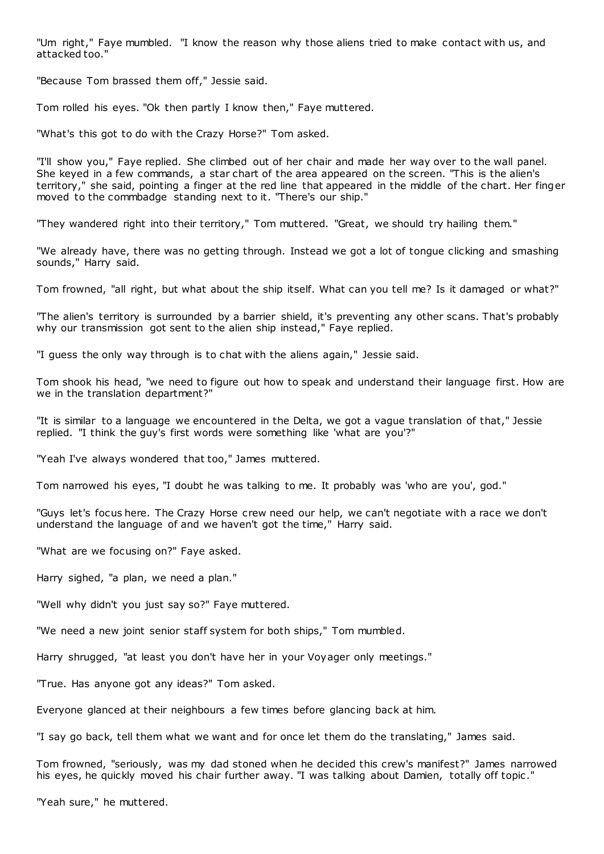"Um right," Faye mumbled. "I know the reason why those aliens tried to make contact with us, and attacked too."

"Because Tom brassed them off," Jessie said.

Tom rolled his eyes. "Ok then partly I know then," Faye muttered.

"What's this got to do with the Crazy Horse?" Tom asked.

"I'll show you," Faye replied. She climbed out of her chair and made her way over to the wall panel. She keyed in a few commands, a star chart of the area appeared on the screen. "This is the alien's territory," she said, pointing a finger at the red line that appeared in the middle of the chart. Her finger moved to the commbadge standing next to it. "There's our ship."

"They wandered right into their territory," Tom muttered. "Great, we should try hailing them."

"We already have, there was no getting through. Instead we got a lot of tongue clicking and smashing sounds," Harry said.

Tom frowned, "all right, but what about the ship itself. What can you tell me? Is it damaged or what?"

"The alien's territory is surrounded by a barrier shield, it's preventing any other scans. That's probably why our transmission got sent to the alien ship instead," Faye replied.

"I guess the only way through is to chat with the aliens again," Jessie said.

Tom shook his head, "we need to figure out how to speak and understand their language first. How are we in the translation department?"

"It is similar to a language we encountered in the Delta, we got a vague translation of that," Jessie replied. "I think the guy's first words were something like 'what are you'?"

"Yeah I've always wondered that too," James muttered.

Tom narrowed his eyes, "I doubt he was talking to me. It probably was 'who are you', god."

"Guys let's focus here. The Crazy Horse crew need our help, we can't negotiate with a race we don't understand the language of and we haven't got the time," Harry said.

"What are we focusing on?" Faye asked.

Harry sighed, "a plan, we need a plan."

"Well why didn't you just say so?" Faye muttered.

"We need a new joint senior staff system for both ships," Tom mumbled.

Harry shrugged, "at least you don't have her in your Voyager only meetings."

"True. Has anyone got any ideas?" Tom asked.

Everyone glanced at their neighbours a few times before glancing back at him.

"I say go back, tell them what we want and for once let them do the translating," James said.

Tom frowned, "seriously, was my dad stoned when he decided this crew's manifest?" James narrowed his eyes, he quickly moved his chair further away. "I was talking about Damien, totally off topic."

"Yeah sure," he muttered.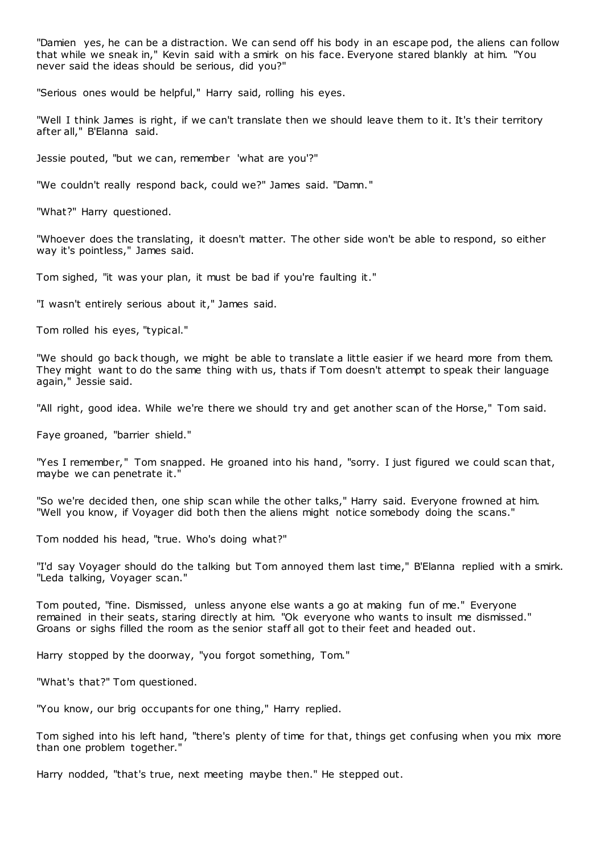"Damien yes, he can be a distraction. We can send off his body in an escape pod, the aliens can follow that while we sneak in," Kevin said with a smirk on his face. Everyone stared blankly at him. "You never said the ideas should be serious, did you?"

"Serious ones would be helpful," Harry said, rolling his eyes.

"Well I think James is right, if we can't translate then we should leave them to it. It's their territory after all," B'Elanna said.

Jessie pouted, "but we can, remember 'what are you'?"

"We couldn't really respond back, could we?" James said. "Damn."

"What?" Harry questioned.

"Whoever does the translating, it doesn't matter. The other side won't be able to respond, so either way it's pointless," James said.

Tom sighed, "it was your plan, it must be bad if you're faulting it."

"I wasn't entirely serious about it," James said.

Tom rolled his eyes, "typical."

"We should go back though, we might be able to translate a little easier if we heard more from them. They might want to do the same thing with us, thats if Tom doesn't attempt to speak their language again," Jessie said.

"All right, good idea. While we're there we should try and get another scan of the Horse," Tom said.

Faye groaned, "barrier shield."

"Yes I remember," Tom snapped. He groaned into his hand, "sorry. I just figured we could scan that, maybe we can penetrate it."

"So we're decided then, one ship scan while the other talks," Harry said. Everyone frowned at him. "Well you know, if Voyager did both then the aliens might notice somebody doing the scans."

Tom nodded his head, "true. Who's doing what?"

"I'd say Voyager should do the talking but Tom annoyed them last time," B'Elanna replied with a smirk. "Leda talking, Voyager scan."

Tom pouted, "fine. Dismissed, unless anyone else wants a go at making fun of me." Everyone remained in their seats, staring directly at him. "Ok everyone who wants to insult me dismissed." Groans or sighs filled the room as the senior staff all got to their feet and headed out.

Harry stopped by the doorway, "you forgot something, Tom."

"What's that?" Tom questioned.

"You know, our brig occupants for one thing," Harry replied.

Tom sighed into his left hand, "there's plenty of time for that, things get confusing when you mix more than one problem together."

Harry nodded, "that's true, next meeting maybe then." He stepped out.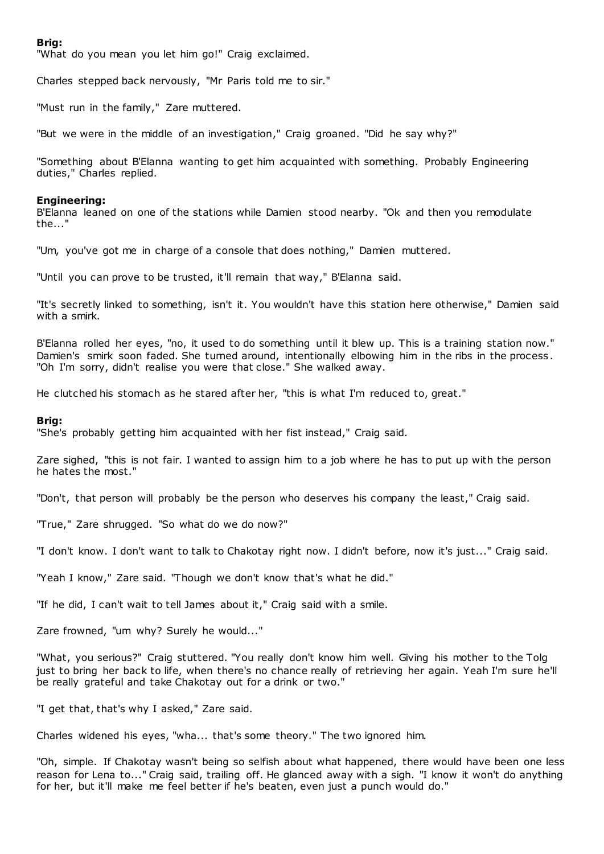## **Brig:**

"What do you mean you let him go!" Craig exclaimed.

Charles stepped back nervously, "Mr Paris told me to sir."

"Must run in the family," Zare muttered.

"But we were in the middle of an investigation," Craig groaned. "Did he say why?"

"Something about B'Elanna wanting to get him acquainted with something. Probably Engineering duties," Charles replied.

#### **Engineering:**

B'Elanna leaned on one of the stations while Damien stood nearby. "Ok and then you remodulate the..."

"Um, you've got me in charge of a console that does nothing," Damien muttered.

"Until you can prove to be trusted, it'll remain that way," B'Elanna said.

"It's secretly linked to something, isn't it. You wouldn't have this station here otherwise," Damien said with a smirk.

B'Elanna rolled her eyes, "no, it used to do something until it blew up. This is a training station now." Damien's smirk soon faded. She turned around, intentionally elbowing him in the ribs in the process . "Oh I'm sorry, didn't realise you were that close." She walked away.

He clutched his stomach as he stared after her, "this is what I'm reduced to, great."

### **Brig:**

"She's probably getting him acquainted with her fist instead," Craig said.

Zare sighed, "this is not fair. I wanted to assign him to a job where he has to put up with the person he hates the most."

"Don't, that person will probably be the person who deserves his company the least," Craig said.

"True," Zare shrugged. "So what do we do now?"

"I don't know. I don't want to talk to Chakotay right now. I didn't before, now it's just..." Craig said.

"Yeah I know," Zare said. "Though we don't know that's what he did."

"If he did, I can't wait to tell James about it," Craig said with a smile.

Zare frowned, "um why? Surely he would..."

"What, you serious?" Craig stuttered. "You really don't know him well. Giving his mother to the Tolg just to bring her back to life, when there's no chance really of retrieving her again. Yeah I'm sure he'll be really grateful and take Chakotay out for a drink or two."

"I get that, that's why I asked," Zare said.

Charles widened his eyes, "wha... that's some theory." The two ignored him.

"Oh, simple. If Chakotay wasn't being so selfish about what happened, there would have been one less reason for Lena to..." Craig said, trailing off. He glanced away with a sigh. "I know it won't do anything for her, but it'll make me feel better if he's beaten, even just a punch would do."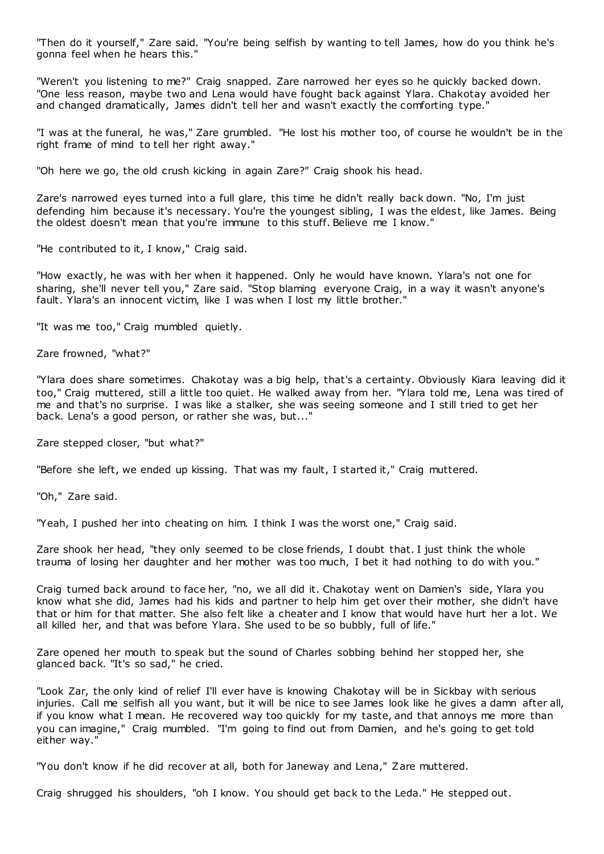"Then do it yourself," Zare said. "You're being selfish by wanting to tell James, how do you think he's gonna feel when he hears this."

"Weren't you listening to me?" Craig snapped. Zare narrowed her eyes so he quickly backed down. "One less reason, maybe two and Lena would have fought back against Ylara. Chakotay avoided her and changed dramatically, James didn't tell her and wasn't exactly the comforting type."

"I was at the funeral, he was," Zare grumbled. "He lost his mother too, of course he wouldn't be in the right frame of mind to tell her right away."

"Oh here we go, the old crush kicking in again Zare?" Craig shook his head.

Zare's narrowed eyes turned into a full glare, this time he didn't really back down. "No, I'm just defending him because it's necessary. You're the youngest sibling, I was the eldest, like James. Being the oldest doesn't mean that you're immune to this stuff. Believe me I know."

"He contributed to it, I know," Craig said.

"How exactly, he was with her when it happened. Only he would have known. Ylara's not one for sharing, she'll never tell you," Zare said. "Stop blaming everyone Craig, in a way it wasn't anyone's fault. Ylara's an innocent victim, like I was when I lost my little brother."

"It was me too," Craig mumbled quietly.

Zare frowned, "what?"

"Ylara does share sometimes. Chakotay was a big help, that's a certainty. Obviously Kiara leaving did it too," Craig muttered, still a little too quiet. He walked away from her. "Ylara told me, Lena was tired of me and that's no surprise. I was like a stalker, she was seeing someone and I still tried to get her back. Lena's a good person, or rather she was, but..."

Zare stepped closer, "but what?"

"Before she left, we ended up kissing. That was my fault, I started it," Craig muttered.

"Oh," Zare said.

"Yeah, I pushed her into cheating on him. I think I was the worst one," Craig said.

Zare shook her head, "they only seemed to be close friends, I doubt that. I just think the whole trauma of losing her daughter and her mother was too much, I bet it had nothing to do with you."

Craig turned back around to face her, "no, we all did it. Chakotay went on Damien's side, Ylara you know what she did, James had his kids and partner to help him get over their mother, she didn't have that or him for that matter. She also felt like a cheater and I know that would have hurt her a lot. We all killed her, and that was before Ylara. She used to be so bubbly, full of life."

Zare opened her mouth to speak but the sound of Charles sobbing behind her stopped her, she glanced back. "It's so sad," he cried.

"Look Zar, the only kind of relief I'll ever have is knowing Chakotay will be in Sickbay with serious injuries. Call me selfish all you want, but it will be nice to see James look like he gives a damn after all, if you know what I mean. He recovered way too quickly for my taste, and that annoys me more than you can imagine," Craig mumbled. "I'm going to find out from Damien, and he's going to get told either way."

"You don't know if he did recover at all, both for Janeway and Lena," Zare muttered.

Craig shrugged his shoulders, "oh I know. You should get back to the Leda." He stepped out.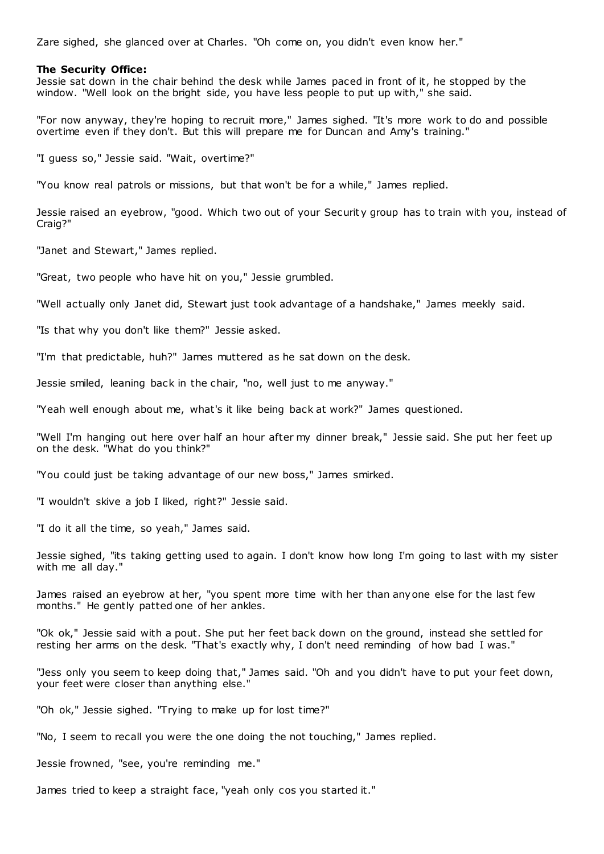Zare sighed, she glanced over at Charles. "Oh come on, you didn't even know her."

#### **The Security Office:**

Jessie sat down in the chair behind the desk while James paced in front of it, he stopped by the window. "Well look on the bright side, you have less people to put up with," she said.

"For now anyway, they're hoping to recruit more," James sighed. "It's more work to do and possible overtime even if they don't. But this will prepare me for Duncan and Amy's training."

"I guess so," Jessie said. "Wait, overtime?"

"You know real patrols or missions, but that won't be for a while," James replied.

Jessie raised an eyebrow, "good. Which two out of your Securit y group has to train with you, instead of Craig?"

"Janet and Stewart," James replied.

"Great, two people who have hit on you," Jessie grumbled.

"Well actually only Janet did, Stewart just took advantage of a handshake," James meekly said.

"Is that why you don't like them?" Jessie asked.

"I'm that predictable, huh?" James muttered as he sat down on the desk.

Jessie smiled, leaning back in the chair, "no, well just to me anyway."

"Yeah well enough about me, what's it like being back at work?" James questioned.

"Well I'm hanging out here over half an hour after my dinner break," Jessie said. She put her feet up on the desk. "What do you think?"

"You could just be taking advantage of our new boss," James smirked.

"I wouldn't skive a job I liked, right?" Jessie said.

"I do it all the time, so yeah," James said.

Jessie sighed, "its taking getting used to again. I don't know how long I'm going to last with my sister with me all day."

James raised an eyebrow at her, "you spent more time with her than anyone else for the last few months." He gently patted one of her ankles.

"Ok ok," Jessie said with a pout. She put her feet back down on the ground, instead she settled for resting her arms on the desk. "That's exactly why, I don't need reminding of how bad I was."

"Jess only you seem to keep doing that," James said. "Oh and you didn't have to put your feet down, your feet were closer than anything else."

"Oh ok," Jessie sighed. "Trying to make up for lost time?"

"No, I seem to recall you were the one doing the not touching," James replied.

Jessie frowned, "see, you're reminding me."

James tried to keep a straight face, "yeah only cos you started it."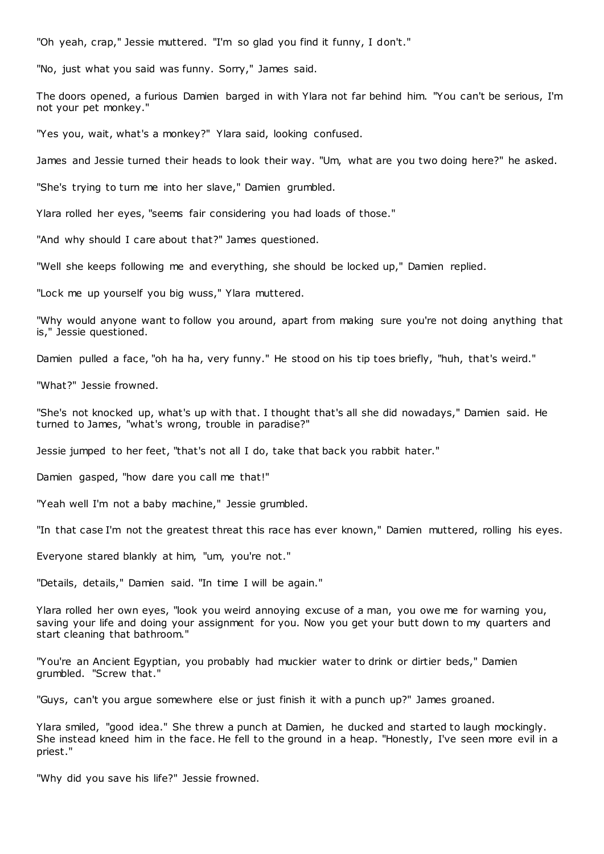"Oh yeah, crap," Jessie muttered. "I'm so glad you find it funny, I don't."

"No, just what you said was funny. Sorry," James said.

The doors opened, a furious Damien barged in with Ylara not far behind him. "You can't be serious, I'm not your pet monkey."

"Yes you, wait, what's a monkey?" Ylara said, looking confused.

James and Jessie turned their heads to look their way. "Um, what are you two doing here?" he asked.

"She's trying to turn me into her slave," Damien grumbled.

Ylara rolled her eyes, "seems fair considering you had loads of those."

"And why should I care about that?" James questioned.

"Well she keeps following me and everything, she should be locked up," Damien replied.

"Lock me up yourself you big wuss," Ylara muttered.

"Why would anyone want to follow you around, apart from making sure you're not doing anything that is," Jessie questioned.

Damien pulled a face, "oh ha ha, very funny." He stood on his tip toes briefly, "huh, that's weird."

"What?" Jessie frowned.

"She's not knocked up, what's up with that. I thought that's all she did nowadays," Damien said. He turned to James, "what's wrong, trouble in paradise?"

Jessie jumped to her feet, "that's not all I do, take that back you rabbit hater."

Damien gasped, "how dare you call me that!"

"Yeah well I'm not a baby machine," Jessie grumbled.

"In that case I'm not the greatest threat this race has ever known," Damien muttered, rolling his eyes.

Everyone stared blankly at him, "um, you're not."

"Details, details," Damien said. "In time I will be again."

Ylara rolled her own eyes, "look you weird annoying excuse of a man, you owe me for warning you, saving your life and doing your assignment for you. Now you get your butt down to my quarters and start cleaning that bathroom."

"You're an Ancient Egyptian, you probably had muckier water to drink or dirtier beds," Damien grumbled. "Screw that."

"Guys, can't you argue somewhere else or just finish it with a punch up?" James groaned.

Ylara smiled, "good idea." She threw a punch at Damien, he ducked and started to laugh mockingly. She instead kneed him in the face. He fell to the ground in a heap. "Honestly, I've seen more evil in a priest."

"Why did you save his life?" Jessie frowned.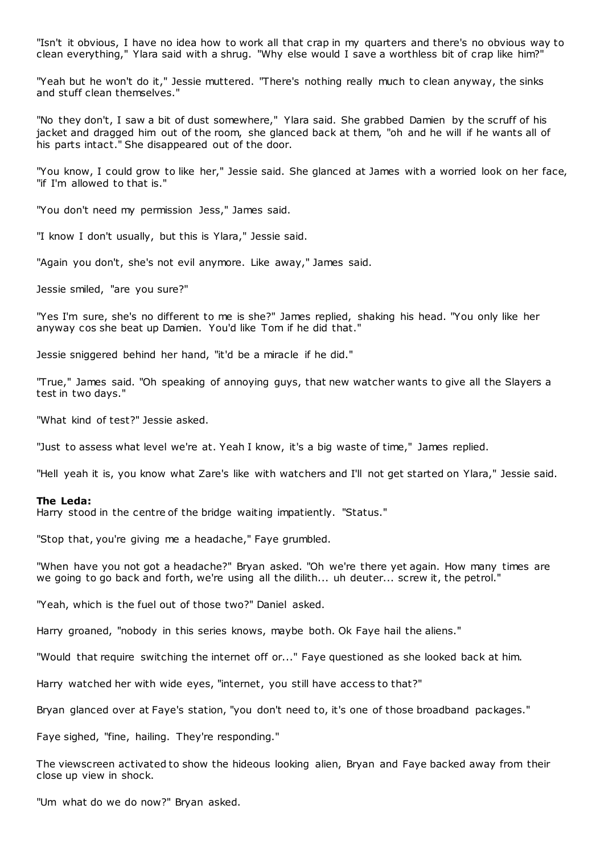"Isn't it obvious, I have no idea how to work all that crap in my quarters and there's no obvious way to clean everything," Ylara said with a shrug. "Why else would I save a worthless bit of crap like him?"

"Yeah but he won't do it," Jessie muttered. "There's nothing really much to clean anyway, the sinks and stuff clean themselves."

"No they don't, I saw a bit of dust somewhere," Ylara said. She grabbed Damien by the scruff of his jacket and dragged him out of the room, she glanced back at them, "oh and he will if he wants all of his parts intact." She disappeared out of the door.

"You know, I could grow to like her," Jessie said. She glanced at James with a worried look on her face, "if I'm allowed to that is."

"You don't need my permission Jess," James said.

"I know I don't usually, but this is Ylara," Jessie said.

"Again you don't, she's not evil anymore. Like away," James said.

Jessie smiled, "are you sure?"

"Yes I'm sure, she's no different to me is she?" James replied, shaking his head. "You only like her anyway cos she beat up Damien. You'd like Tom if he did that."

Jessie sniggered behind her hand, "it'd be a miracle if he did."

"True," James said. "Oh speaking of annoying guys, that new watcher wants to give all the Slayers a test in two days."

"What kind of test?" Jessie asked.

"Just to assess what level we're at. Yeah I know, it's a big waste of time," James replied.

"Hell yeah it is, you know what Zare's like with watchers and I'll not get started on Ylara," Jessie said.

#### **The Leda:**

Harry stood in the centre of the bridge waiting impatiently. "Status."

"Stop that, you're giving me a headache," Faye grumbled.

"When have you not got a headache?" Bryan asked. "Oh we're there yet again. How many times are we going to go back and forth, we're using all the dilith... uh deuter... screw it, the petrol.'

"Yeah, which is the fuel out of those two?" Daniel asked.

Harry groaned, "nobody in this series knows, maybe both. Ok Faye hail the aliens."

"Would that require switching the internet off or..." Faye questioned as she looked back at him.

Harry watched her with wide eyes, "internet, you still have access to that?"

Bryan glanced over at Faye's station, "you don't need to, it's one of those broadband packages."

Faye sighed, "fine, hailing. They're responding."

The viewscreen activated to show the hideous looking alien, Bryan and Faye backed away from their close up view in shock.

"Um what do we do now?" Bryan asked.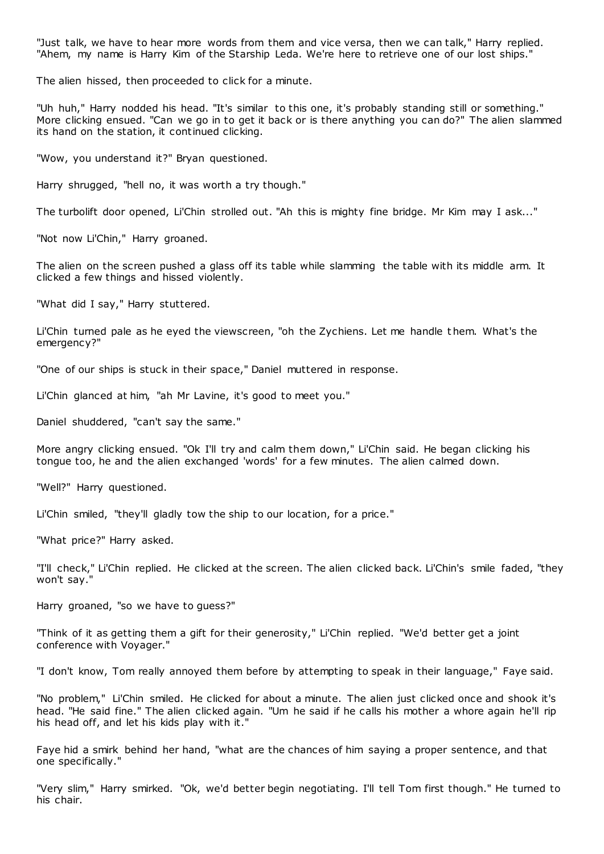"Just talk, we have to hear more words from them and vice versa, then we can talk," Harry replied. "Ahem, my name is Harry Kim of the Starship Leda. We're here to retrieve one of our lost ships."

The alien hissed, then proceeded to click for a minute.

"Uh huh," Harry nodded his head. "It's similar to this one, it's probably standing still or something." More clicking ensued. "Can we go in to get it back or is there anything you can do?" The alien slammed its hand on the station, it continued clicking.

"Wow, you understand it?" Bryan questioned.

Harry shrugged, "hell no, it was worth a try though."

The turbolift door opened, Li'Chin strolled out. "Ah this is mighty fine bridge. Mr Kim may I ask..."

"Not now Li'Chin," Harry groaned.

The alien on the screen pushed a glass off its table while slamming the table with its middle arm. It clicked a few things and hissed violently.

"What did I say," Harry stuttered.

Li'Chin turned pale as he eyed the viewscreen, "oh the Zychiens. Let me handle t hem. What's the emergency?"

"One of our ships is stuck in their space," Daniel muttered in response.

Li'Chin glanced at him, "ah Mr Lavine, it's good to meet you."

Daniel shuddered, "can't say the same."

More angry clicking ensued. "Ok I'll try and calm them down," Li'Chin said. He began clicking his tongue too, he and the alien exchanged 'words' for a few minutes. The alien calmed down.

"Well?" Harry questioned.

Li'Chin smiled, "they'll gladly tow the ship to our location, for a price."

"What price?" Harry asked.

"I'll check," Li'Chin replied. He clicked at the screen. The alien clicked back. Li'Chin's smile faded, "they won't say."

Harry groaned, "so we have to guess?"

"Think of it as getting them a gift for their generosity," Li'Chin replied. "We'd better get a joint conference with Voyager."

"I don't know, Tom really annoyed them before by attempting to speak in their language," Faye said.

"No problem," Li'Chin smiled. He clicked for about a minute. The alien just clicked once and shook it's head. "He said fine." The alien clicked again. "Um he said if he calls his mother a whore again he'll rip his head off, and let his kids play with it."

Faye hid a smirk behind her hand, "what are the chances of him saying a proper sentence, and that one specifically."

"Very slim," Harry smirked. "Ok, we'd better begin negotiating. I'll tell Tom first though." He turned to his chair.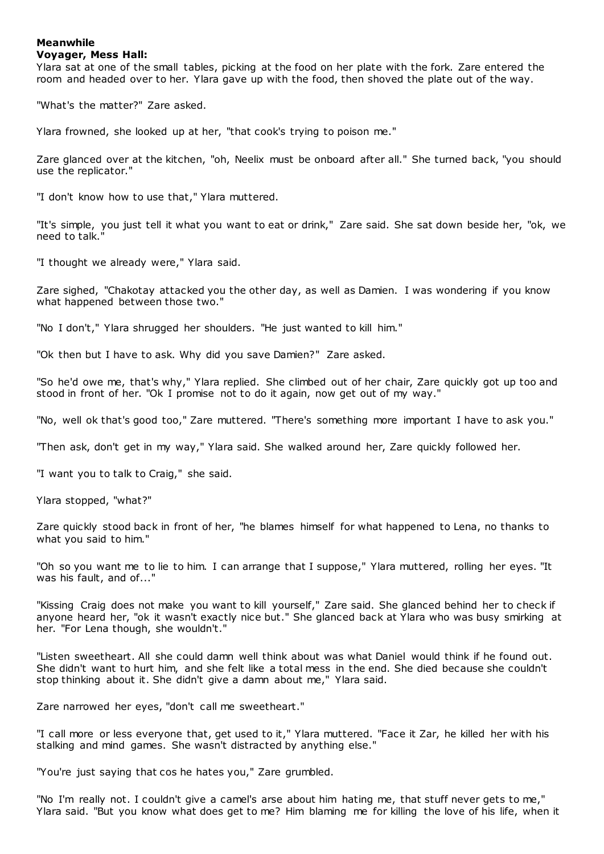## **Meanwhile**

### **Voyager, Mess Hall:**

Ylara sat at one of the small tables, picking at the food on her plate with the fork. Zare entered the room and headed over to her. Ylara gave up with the food, then shoved the plate out of the way.

"What's the matter?" Zare asked.

Ylara frowned, she looked up at her, "that cook's trying to poison me."

Zare glanced over at the kitchen, "oh, Neelix must be onboard after all." She turned back, "you should use the replicator."

"I don't know how to use that," Ylara muttered.

"It's simple, you just tell it what you want to eat or drink," Zare said. She sat down beside her, "ok, we need to talk."

"I thought we already were," Ylara said.

Zare sighed, "Chakotay attacked you the other day, as well as Damien. I was wondering if you know what happened between those two."

"No I don't," Ylara shrugged her shoulders. "He just wanted to kill him."

"Ok then but I have to ask. Why did you save Damien?" Zare asked.

"So he'd owe me, that's why," Ylara replied. She climbed out of her chair, Zare quickly got up too and stood in front of her. "Ok I promise not to do it again, now get out of my way."

"No, well ok that's good too," Zare muttered. "There's something more important I have to ask you."

"Then ask, don't get in my way," Ylara said. She walked around her, Zare quickly followed her.

"I want you to talk to Craig," she said.

Ylara stopped, "what?"

Zare quickly stood back in front of her, "he blames himself for what happened to Lena, no thanks to what you said to him."

"Oh so you want me to lie to him. I can arrange that I suppose," Ylara muttered, rolling her eyes. "It was his fault, and of..."

"Kissing Craig does not make you want to kill yourself," Zare said. She glanced behind her to check if anyone heard her, "ok it wasn't exactly nice but." She glanced back at Ylara who was busy smirking at her. "For Lena though, she wouldn't."

"Listen sweetheart. All she could damn well think about was what Daniel would think if he found out. She didn't want to hurt him, and she felt like a total mess in the end. She died because she couldn't stop thinking about it. She didn't give a damn about me," Ylara said.

Zare narrowed her eyes, "don't call me sweetheart."

"I call more or less everyone that, get used to it," Ylara muttered. "Face it Zar, he killed her with his stalking and mind games. She wasn't distracted by anything else."

"You're just saying that cos he hates you," Zare grumbled.

"No I'm really not. I couldn't give a camel's arse about him hating me, that stuff never gets to me," Ylara said. "But you know what does get to me? Him blaming me for killing the love of his life, when it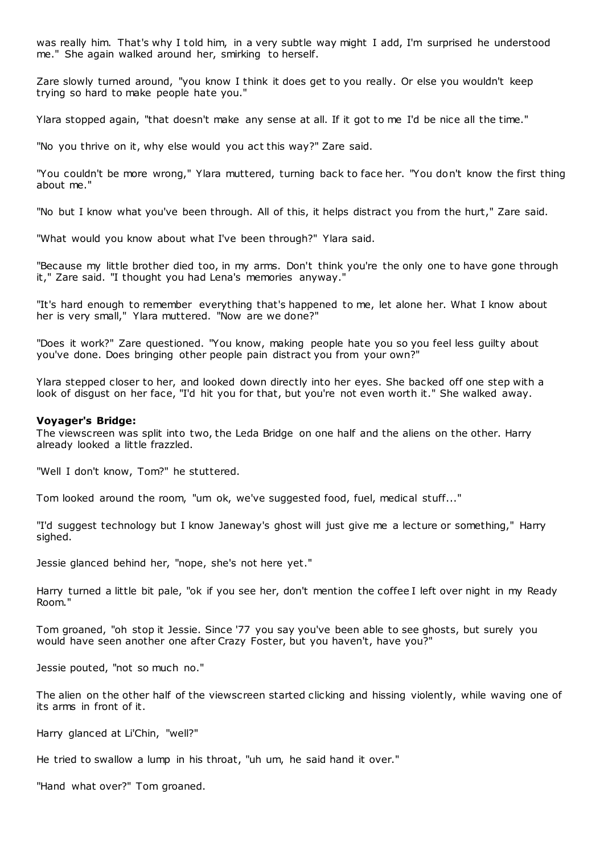was really him. That's why I told him, in a very subtle way might I add, I'm surprised he understood me." She again walked around her, smirking to herself.

Zare slowly turned around, "you know I think it does get to you really. Or else you wouldn't keep trying so hard to make people hate you."

Ylara stopped again, "that doesn't make any sense at all. If it got to me I'd be nice all the time."

"No you thrive on it, why else would you act this way?" Zare said.

"You couldn't be more wrong," Ylara muttered, turning back to face her. "You don't know the first thing about me."

"No but I know what you've been through. All of this, it helps distract you from the hurt," Zare said.

"What would you know about what I've been through?" Ylara said.

"Because my little brother died too, in my arms. Don't think you're the only one to have gone through it," Zare said. "I thought you had Lena's memories anyway."

"It's hard enough to remember everything that's happened to me, let alone her. What I know about her is very small," Ylara muttered. "Now are we done?"

"Does it work?" Zare questioned. "You know, making people hate you so you feel less guilty about you've done. Does bringing other people pain distract you from your own?"

Ylara stepped closer to her, and looked down directly into her eyes. She backed off one step with a look of disgust on her face, "I'd hit you for that, but you're not even worth it." She walked away.

#### **Voyager's Bridge:**

The viewscreen was split into two, the Leda Bridge on one half and the aliens on the other. Harry already looked a little frazzled.

"Well I don't know, Tom?" he stuttered.

Tom looked around the room, "um ok, we've suggested food, fuel, medical stuff..."

"I'd suggest technology but I know Janeway's ghost will just give me a lecture or something," Harry sighed.

Jessie glanced behind her, "nope, she's not here yet."

Harry turned a little bit pale, "ok if you see her, don't mention the coffee I left over night in my Ready Room."

Tom groaned, "oh stop it Jessie. Since '77 you say you've been able to see ghosts, but surely you would have seen another one after Crazy Foster, but you haven't, have you?"

Jessie pouted, "not so much no."

The alien on the other half of the viewscreen started clicking and hissing violently, while waving one of its arms in front of it.

Harry glanced at Li'Chin, "well?"

He tried to swallow a lump in his throat, "uh um, he said hand it over."

"Hand what over?" Tom groaned.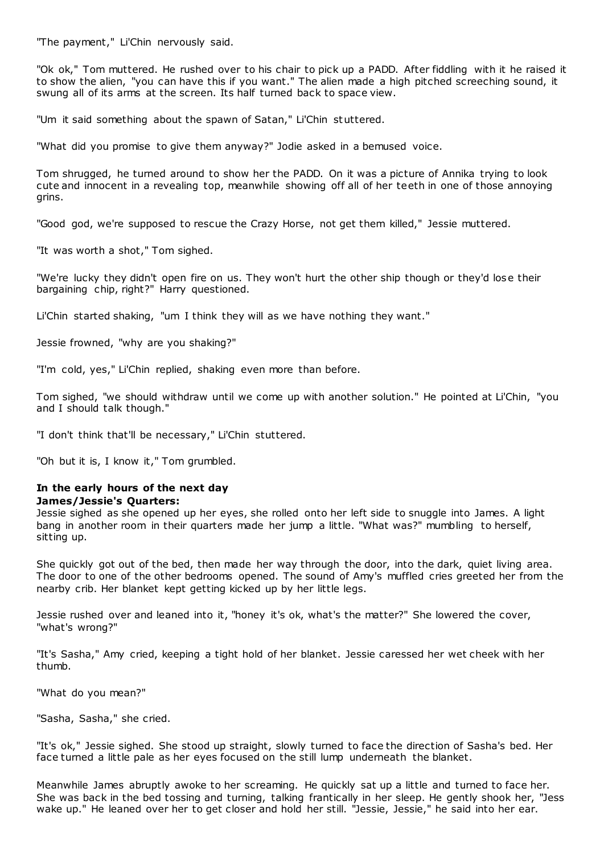"The payment," Li'Chin nervously said.

"Ok ok," Tom muttered. He rushed over to his chair to pick up a PADD. After fiddling with it he raised it to show the alien, "you can have this if you want." The alien made a high pitched screeching sound, it swung all of its arms at the screen. Its half turned back to space view.

"Um it said something about the spawn of Satan," Li'Chin stuttered.

"What did you promise to give them anyway?" Jodie asked in a bemused voice.

Tom shrugged, he turned around to show her the PADD. On it was a picture of Annika trying to look cute and innocent in a revealing top, meanwhile showing off all of her teeth in one of those annoying grins.

"Good god, we're supposed to rescue the Crazy Horse, not get them killed," Jessie muttered.

"It was worth a shot," Tom sighed.

"We're lucky they didn't open fire on us. They won't hurt the other ship though or they'd lose their bargaining chip, right?" Harry questioned.

Li'Chin started shaking, "um I think they will as we have nothing they want."

Jessie frowned, "why are you shaking?"

"I'm cold, yes," Li'Chin replied, shaking even more than before.

Tom sighed, "we should withdraw until we come up with another solution." He pointed at Li'Chin, "you and I should talk though."

"I don't think that'll be necessary," Li'Chin stuttered.

"Oh but it is, I know it," Tom grumbled.

### **In the early hours of the next day James/Jessie's Quarters:**

Jessie sighed as she opened up her eyes, she rolled onto her left side to snuggle into James. A light bang in another room in their quarters made her jump a little. "What was?" mumbling to herself, sitting up.

She quickly got out of the bed, then made her way through the door, into the dark, quiet living area. The door to one of the other bedrooms opened. The sound of Amy's muffled cries greeted her from the nearby crib. Her blanket kept getting kicked up by her little legs.

Jessie rushed over and leaned into it, "honey it's ok, what's the matter?" She lowered the cover, "what's wrong?"

"It's Sasha," Amy cried, keeping a tight hold of her blanket. Jessie caressed her wet cheek with her thumb.

"What do you mean?"

"Sasha, Sasha," she cried.

"It's ok," Jessie sighed. She stood up straight, slowly turned to face the direction of Sasha's bed. Her face turned a little pale as her eyes focused on the still lump underneath the blanket.

Meanwhile James abruptly awoke to her screaming. He quickly sat up a little and turned to face her. She was back in the bed tossing and turning, talking frantically in her sleep. He gently shook her, "Jess wake up." He leaned over her to get closer and hold her still. "Jessie, Jessie," he said into her ear.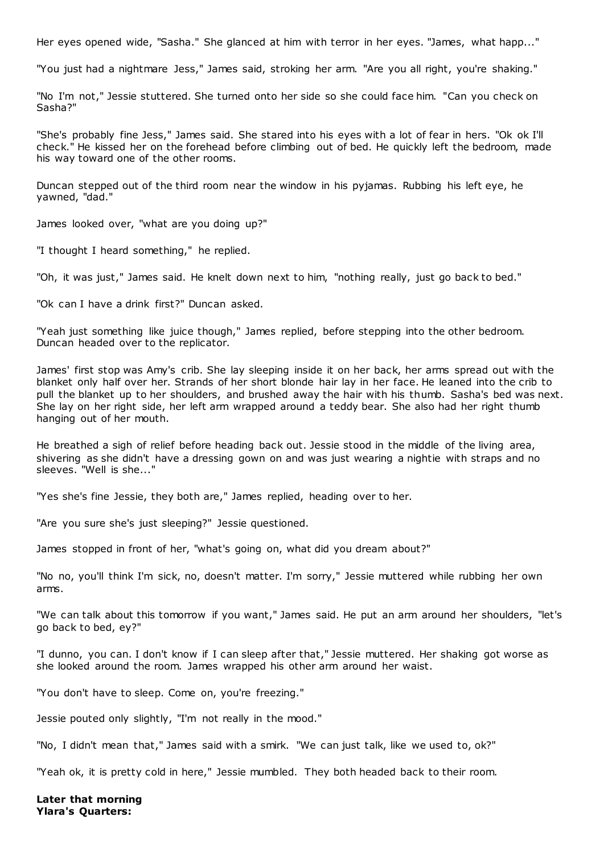Her eyes opened wide, "Sasha." She glanced at him with terror in her eyes. "James, what happ..."

"You just had a nightmare Jess," James said, stroking her arm. "Are you all right, you're shaking."

"No I'm not," Jessie stuttered. She turned onto her side so she could face him. "Can you check on Sasha?"

"She's probably fine Jess," James said. She stared into his eyes with a lot of fear in hers. "Ok ok I'll check." He kissed her on the forehead before climbing out of bed. He quickly left the bedroom, made his way toward one of the other rooms.

Duncan stepped out of the third room near the window in his pyjamas. Rubbing his left eye, he yawned, "dad."

James looked over, "what are you doing up?"

"I thought I heard something," he replied.

"Oh, it was just," James said. He knelt down next to him, "nothing really, just go back to bed."

"Ok can I have a drink first?" Duncan asked.

"Yeah just something like juice though," James replied, before stepping into the other bedroom. Duncan headed over to the replicator.

James' first stop was Amy's crib. She lay sleeping inside it on her back, her arms spread out with the blanket only half over her. Strands of her short blonde hair lay in her face. He leaned into the crib to pull the blanket up to her shoulders, and brushed away the hair with his thumb. Sasha's bed was next. She lay on her right side, her left arm wrapped around a teddy bear. She also had her right thumb hanging out of her mouth.

He breathed a sigh of relief before heading back out. Jessie stood in the middle of the living area, shivering as she didn't have a dressing gown on and was just wearing a nightie with straps and no sleeves. "Well is she..."

"Yes she's fine Jessie, they both are," James replied, heading over to her.

"Are you sure she's just sleeping?" Jessie questioned.

James stopped in front of her, "what's going on, what did you dream about?"

"No no, you'll think I'm sick, no, doesn't matter. I'm sorry," Jessie muttered while rubbing her own arms.

"We can talk about this tomorrow if you want," James said. He put an arm around her shoulders, "let's go back to bed, ey?"

"I dunno, you can. I don't know if I can sleep after that," Jessie muttered. Her shaking got worse as she looked around the room. James wrapped his other arm around her waist.

"You don't have to sleep. Come on, you're freezing."

Jessie pouted only slightly, "I'm not really in the mood."

"No, I didn't mean that," James said with a smirk. "We can just talk, like we used to, ok?"

"Yeah ok, it is pretty cold in here," Jessie mumbled. They both headed back to their room.

**Later that morning Ylara's Quarters:**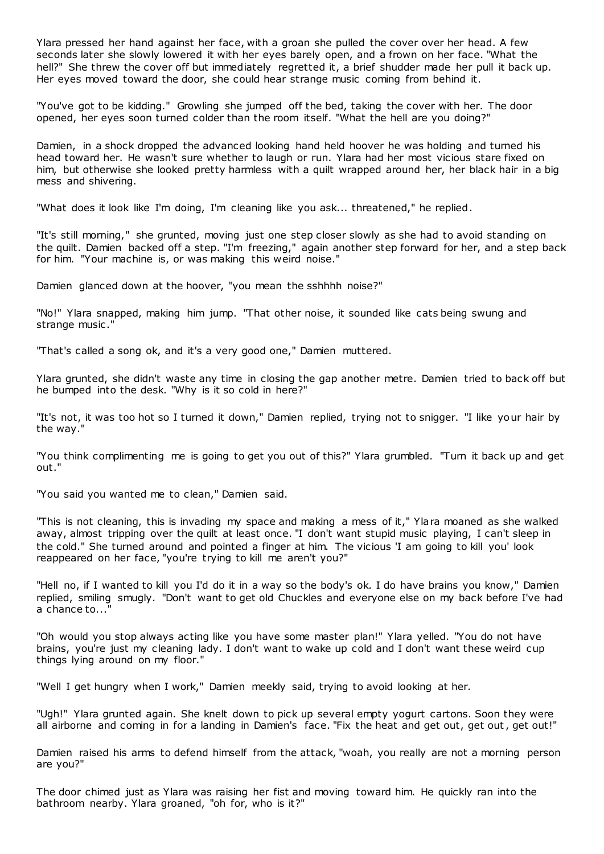Ylara pressed her hand against her face, with a groan she pulled the cover over her head. A few seconds later she slowly lowered it with her eyes barely open, and a frown on her face. "What the hell?" She threw the cover off but immediately regretted it, a brief shudder made her pull it back up. Her eyes moved toward the door, she could hear strange music coming from behind it.

"You've got to be kidding." Growling she jumped off the bed, taking the cover with her. The door opened, her eyes soon turned colder than the room itself. "What the hell are you doing?"

Damien, in a shock dropped the advanced looking hand held hoover he was holding and turned his head toward her. He wasn't sure whether to laugh or run. Ylara had her most vicious stare fixed on him, but otherwise she looked pretty harmless with a quilt wrapped around her, her black hair in a big mess and shivering.

"What does it look like I'm doing, I'm cleaning like you ask... threatened," he replied.

"It's still morning," she grunted, moving just one step closer slowly as she had to avoid standing on the quilt. Damien backed off a step. "I'm freezing," again another step forward for her, and a step back for him. "Your machine is, or was making this weird noise."

Damien glanced down at the hoover, "you mean the sshhhh noise?"

"No!" Ylara snapped, making him jump. "That other noise, it sounded like cats being swung and strange music ."

"That's called a song ok, and it's a very good one," Damien muttered.

Ylara grunted, she didn't waste any time in closing the gap another metre. Damien tried to back off but he bumped into the desk. "Why is it so cold in here?"

"It's not, it was too hot so I turned it down," Damien replied, trying not to snigger. "I like your hair by the way."

"You think complimenting me is going to get you out of this?" Ylara grumbled. "Turn it back up and get out."

"You said you wanted me to clean," Damien said.

"This is not cleaning, this is invading my space and making a mess of it," Ylara moaned as she walked away, almost tripping over the quilt at least once. "I don't want stupid music playing, I can't sleep in the cold." She turned around and pointed a finger at him. The vicious 'I am going to kill you' look reappeared on her face, "you're trying to kill me aren't you?"

"Hell no, if I wanted to kill you I'd do it in a way so the body's ok. I do have brains you know," Damien replied, smiling smugly. "Don't want to get old Chuckles and everyone else on my back before I've had a chance to...

"Oh would you stop always acting like you have some master plan!" Ylara yelled. "You do not have brains, you're just my cleaning lady. I don't want to wake up cold and I don't want these weird cup things lying around on my floor."

"Well I get hungry when I work," Damien meekly said, trying to avoid looking at her.

"Ugh!" Ylara grunted again. She knelt down to pick up several empty yogurt cartons. Soon they were all airborne and coming in for a landing in Damien's face. "Fix the heat and get out, get out, get out!"

Damien raised his arms to defend himself from the attack, "woah, you really are not a morning person are you?"

The door chimed just as Ylara was raising her fist and moving toward him. He quickly ran into the bathroom nearby. Ylara groaned, "oh for, who is it?"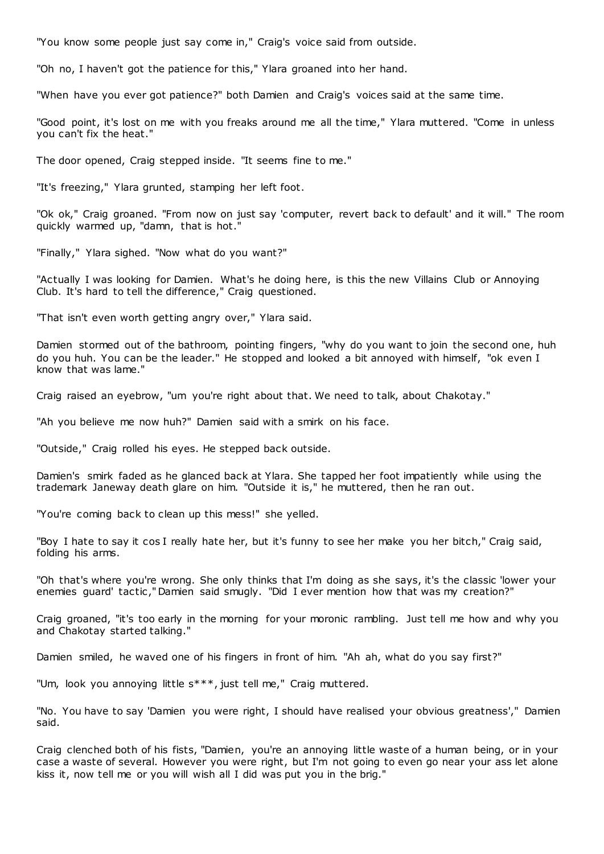"You know some people just say come in," Craig's voice said from outside.

"Oh no, I haven't got the patience for this," Ylara groaned into her hand.

"When have you ever got patience?" both Damien and Craig's voices said at the same time.

"Good point, it's lost on me with you freaks around me all the time," Ylara muttered. "Come in unless you can't fix the heat."

The door opened, Craig stepped inside. "It seems fine to me."

"It's freezing," Ylara grunted, stamping her left foot.

"Ok ok," Craig groaned. "From now on just say 'computer, revert back to default' and it will." The room quickly warmed up, "damn, that is hot."

"Finally," Ylara sighed. "Now what do you want?"

"Actually I was looking for Damien. What's he doing here, is this the new Villains Club or Annoying Club. It's hard to tell the difference," Craig questioned.

"That isn't even worth getting angry over," Ylara said.

Damien stormed out of the bathroom, pointing fingers, "why do you want to join the second one, huh do you huh. You can be the leader." He stopped and looked a bit annoyed with himself, "ok even I know that was lame."

Craig raised an eyebrow, "um you're right about that. We need to talk, about Chakotay."

"Ah you believe me now huh?" Damien said with a smirk on his face.

"Outside," Craig rolled his eyes. He stepped back outside.

Damien's smirk faded as he glanced back at Ylara. She tapped her foot impatiently while using the trademark Janeway death glare on him. "Outside it is," he muttered, then he ran out.

"You're coming back to clean up this mess!" she yelled.

"Boy I hate to say it cos I really hate her, but it's funny to see her make you her bitch," Craig said, folding his arms.

"Oh that's where you're wrong. She only thinks that I'm doing as she says, it's the classic 'lower your enemies guard' tactic ," Damien said smugly. "Did I ever mention how that was my creation?"

Craig groaned, "it's too early in the morning for your moronic rambling. Just tell me how and why you and Chakotay started talking."

Damien smiled, he waved one of his fingers in front of him. "Ah ah, what do you say first?"

"Um, look you annoying little s\*\*\*, just tell me," Craig muttered.

"No. You have to say 'Damien you were right, I should have realised your obvious greatness'," Damien said.

Craig clenched both of his fists, "Damien, you're an annoying little waste of a human being, or in your case a waste of several. However you were right, but I'm not going to even go near your ass let alone kiss it, now tell me or you will wish all I did was put you in the brig."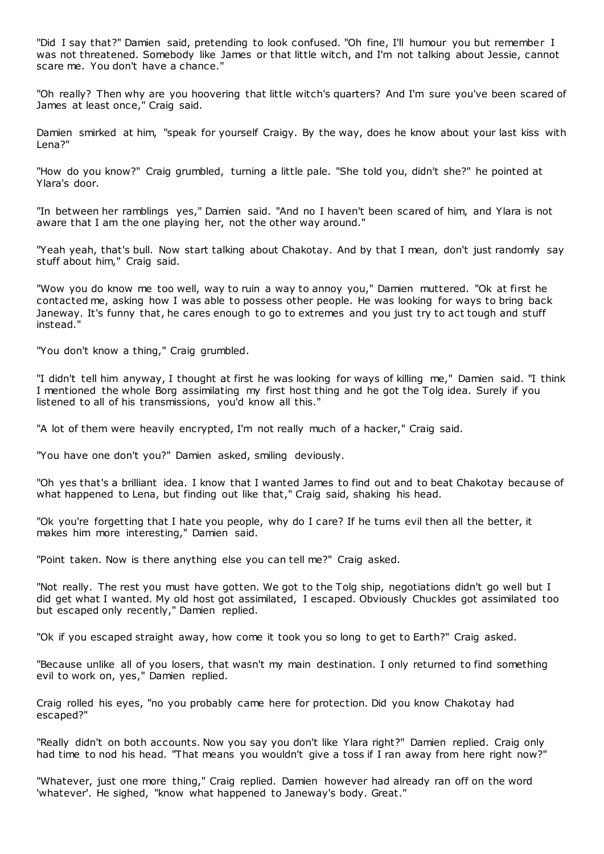"Did I say that?" Damien said, pretending to look confused. "Oh fine, I'll humour you but remember I was not threatened. Somebody like James or that little witch, and I'm not talking about Jessie, cannot scare me. You don't have a chance."

"Oh really? Then why are you hoovering that little witch's quarters? And I'm sure you've been scared of James at least once," Craig said.

Damien smirked at him, "speak for yourself Craigy. By the way, does he know about your last kiss with Lena?"

"How do you know?" Craig grumbled, turning a little pale. "She told you, didn't she?" he pointed at Ylara's door.

"In between her ramblings yes," Damien said. "And no I haven't been scared of him, and Ylara is not aware that I am the one playing her, not the other way around."

"Yeah yeah, that's bull. Now start talking about Chakotay. And by that I mean, don't just randomly say stuff about him," Craig said.

"Wow you do know me too well, way to ruin a way to annoy you," Damien muttered. "Ok at first he contacted me, asking how I was able to possess other people. He was looking for ways to bring back Janeway. It's funny that, he cares enough to go to extremes and you just try to act tough and stuff instead."

"You don't know a thing," Craig grumbled.

"I didn't tell him anyway, I thought at first he was looking for ways of killing me," Damien said. "I think I mentioned the whole Borg assimilating my first host thing and he got the Tolg idea. Surely if you listened to all of his transmissions, you'd know all this."

"A lot of them were heavily encrypted, I'm not really much of a hacker," Craig said.

"You have one don't you?" Damien asked, smiling deviously.

"Oh yes that's a brilliant idea. I know that I wanted James to find out and to beat Chakotay because of what happened to Lena, but finding out like that," Craig said, shaking his head.

"Ok you're forgetting that I hate you people, why do I care? If he turns evil then all the better, it makes him more interesting," Damien said.

"Point taken. Now is there anything else you can tell me?" Craig asked.

"Not really. The rest you must have gotten. We got to the Tolg ship, negotiations didn't go well but I did get what I wanted. My old host got assimilated, I escaped. Obviously Chuckles got assimilated too but escaped only recently," Damien replied.

"Ok if you escaped straight away, how come it took you so long to get to Earth?" Craig asked.

"Because unlike all of you losers, that wasn't my main destination. I only returned to find something evil to work on, yes," Damien replied.

Craig rolled his eyes, "no you probably came here for protection. Did you know Chakotay had escaped?"

"Really didn't on both accounts. Now you say you don't like Ylara right?" Damien replied. Craig only had time to nod his head. "That means you wouldn't give a toss if I ran away from here right now?"

"Whatever, just one more thing," Craig replied. Damien however had already ran off on the word 'whatever'. He sighed, "know what happened to Janeway's body. Great."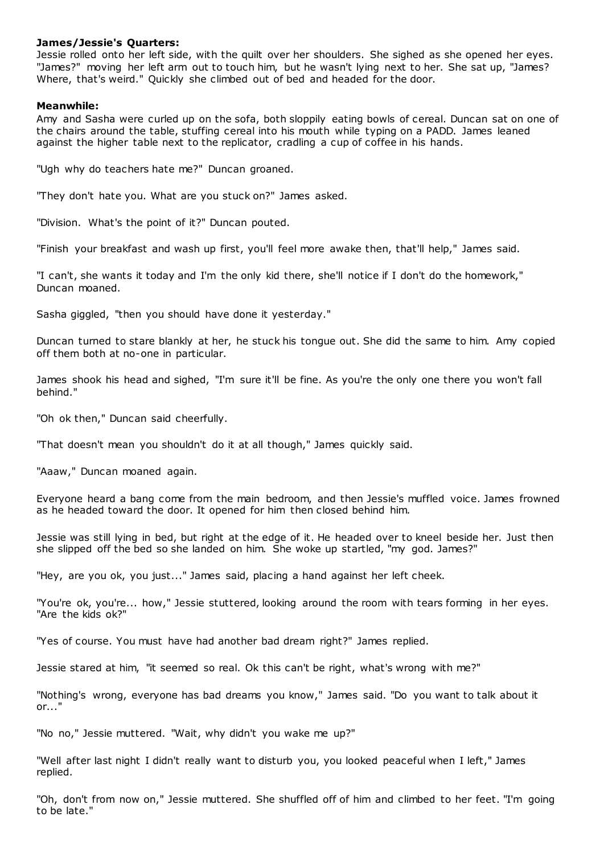### **James/Jessie's Quarters:**

Jessie rolled onto her left side, with the quilt over her shoulders. She sighed as she opened her eyes. "James?" moving her left arm out to touch him, but he wasn't lying next to her. She sat up, "James? Where, that's weird." Quickly she climbed out of bed and headed for the door.

### **Meanwhile:**

Amy and Sasha were curled up on the sofa, both sloppily eating bowls of cereal. Duncan sat on one of the chairs around the table, stuffing cereal into his mouth while typing on a PADD. James leaned against the higher table next to the replicator, cradling a cup of coffee in his hands.

"Ugh why do teachers hate me?" Duncan groaned.

"They don't hate you. What are you stuck on?" James asked.

"Division. What's the point of it?" Duncan pouted.

"Finish your breakfast and wash up first, you'll feel more awake then, that'll help," James said.

"I can't, she wants it today and I'm the only kid there, she'll notice if I don't do the homework," Duncan moaned.

Sasha giggled, "then you should have done it yesterday."

Duncan turned to stare blankly at her, he stuck his tongue out. She did the same to him. Amy copied off them both at no-one in particular.

James shook his head and sighed, "I'm sure it'll be fine. As you're the only one there you won't fall behind."

"Oh ok then," Duncan said cheerfully.

"That doesn't mean you shouldn't do it at all though," James quickly said.

"Aaaw," Duncan moaned again.

Everyone heard a bang come from the main bedroom, and then Jessie's muffled voice. James frowned as he headed toward the door. It opened for him then closed behind him.

Jessie was still lying in bed, but right at the edge of it. He headed over to kneel beside her. Just then she slipped off the bed so she landed on him. She woke up startled, "my god. James?"

"Hey, are you ok, you just..." James said, placing a hand against her left cheek.

"You're ok, you're... how," Jessie stuttered, looking around the room with tears forming in her eyes. "Are the kids ok?"

"Yes of course. You must have had another bad dream right?" James replied.

Jessie stared at him, "it seemed so real. Ok this can't be right, what's wrong with me?"

"Nothing's wrong, everyone has bad dreams you know," James said. "Do you want to talk about it or..."

"No no," Jessie muttered. "Wait, why didn't you wake me up?"

"Well after last night I didn't really want to disturb you, you looked peaceful when I left," James replied.

"Oh, don't from now on," Jessie muttered. She shuffled off of him and climbed to her feet. "I'm going to be late."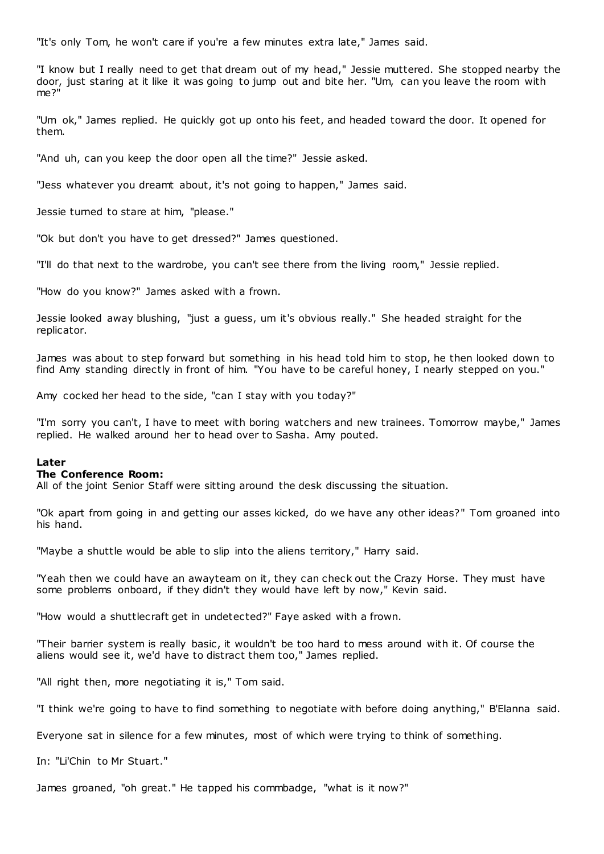"It's only Tom, he won't care if you're a few minutes extra late," James said.

"I know but I really need to get that dream out of my head," Jessie muttered. She stopped nearby the door, just staring at it like it was going to jump out and bite her. "Um, can you leave the room with me?"

"Um ok," James replied. He quickly got up onto his feet, and headed toward the door. It opened for them.

"And uh, can you keep the door open all the time?" Jessie asked.

"Jess whatever you dreamt about, it's not going to happen," James said.

Jessie turned to stare at him, "please."

"Ok but don't you have to get dressed?" James questioned.

"I'll do that next to the wardrobe, you can't see there from the living room," Jessie replied.

"How do you know?" James asked with a frown.

Jessie looked away blushing, "just a guess, um it's obvious really." She headed straight for the replicator.

James was about to step forward but something in his head told him to stop, he then looked down to find Amy standing directly in front of him. "You have to be careful honey, I nearly stepped on you."

Amy cocked her head to the side, "can I stay with you today?"

"I'm sorry you can't, I have to meet with boring watchers and new trainees. Tomorrow maybe," James replied. He walked around her to head over to Sasha. Amy pouted.

#### **Later**

#### **The Conference Room:**

All of the joint Senior Staff were sitting around the desk discussing the situation.

"Ok apart from going in and getting our asses kicked, do we have any other ideas?" Tom groaned into his hand.

"Maybe a shuttle would be able to slip into the aliens territory," Harry said.

"Yeah then we could have an awayteam on it, they can check out the Crazy Horse. They must have some problems onboard, if they didn't they would have left by now," Kevin said.

"How would a shuttlecraft get in undetected?" Faye asked with a frown.

"Their barrier system is really basic , it wouldn't be too hard to mess around with it. Of course the aliens would see it, we'd have to distract them too," James replied.

"All right then, more negotiating it is," Tom said.

"I think we're going to have to find something to negotiate with before doing anything," B'Elanna said.

Everyone sat in silence for a few minutes, most of which were trying to think of something.

In: "Li'Chin to Mr Stuart."

James groaned, "oh great." He tapped his commbadge, "what is it now?"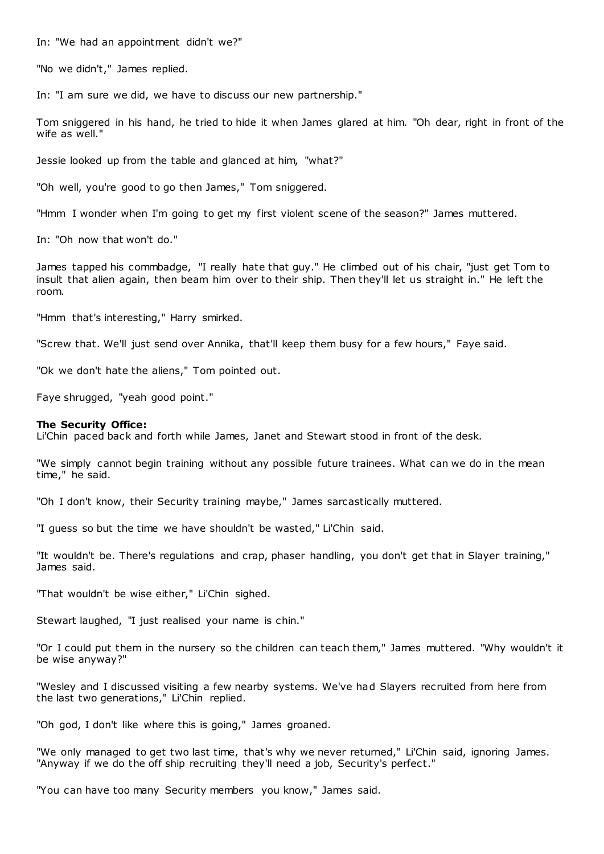In: "We had an appointment didn't we?"

"No we didn't," James replied.

In: "I am sure we did, we have to discuss our new partnership."

Tom sniggered in his hand, he tried to hide it when James glared at him. "Oh dear, right in front of the wife as well."

Jessie looked up from the table and glanced at him, "what?"

"Oh well, you're good to go then James," Tom sniggered.

"Hmm I wonder when I'm going to get my first violent scene of the season?" James muttered.

In: "Oh now that won't do."

James tapped his commbadge, "I really hate that guy." He climbed out of his chair, "just get Tom to insult that alien again, then beam him over to their ship. Then they'll let us straight in." He left the room.

"Hmm that's interesting," Harry smirked.

"Screw that. We'll just send over Annika, that'll keep them busy for a few hours," Faye said.

"Ok we don't hate the aliens," Tom pointed out.

Faye shrugged, "yeah good point."

#### **The Security Office:**

Li'Chin paced back and forth while James, Janet and Stewart stood in front of the desk.

"We simply cannot begin training without any possible future trainees. What can we do in the mean time," he said.

"Oh I don't know, their Security training maybe," James sarcastically muttered.

"I guess so but the time we have shouldn't be wasted," Li'Chin said.

"It wouldn't be. There's regulations and crap, phaser handling, you don't get that in Slayer training," James said.

"That wouldn't be wise either," Li'Chin sighed.

Stewart laughed, "I just realised your name is chin."

"Or I could put them in the nursery so the children can teach them," James muttered. "Why wouldn't it be wise anyway?"

"Wesley and I discussed visiting a few nearby systems. We've had Slayers recruited from here from the last two generations," Li'Chin replied.

"Oh god, I don't like where this is going," James groaned.

"We only managed to get two last time, that's why we never returned," Li'Chin said, ignoring James. "Anyway if we do the off ship recruiting they'll need a job, Security's perfect."

"You can have too many Security members you know," James said.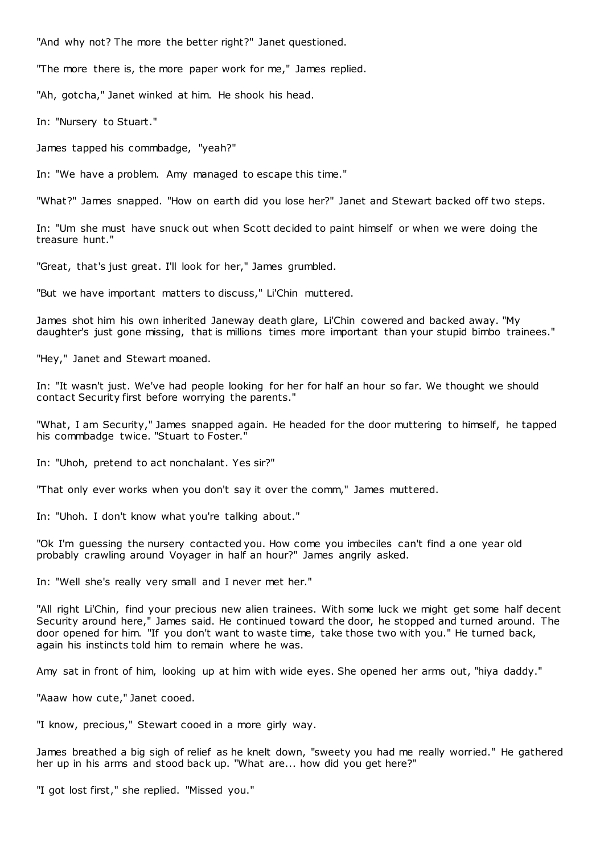"And why not? The more the better right?" Janet questioned.

"The more there is, the more paper work for me," James replied.

"Ah, gotcha," Janet winked at him. He shook his head.

In: "Nursery to Stuart."

James tapped his commbadge, "yeah?"

In: "We have a problem. Amy managed to escape this time."

"What?" James snapped. "How on earth did you lose her?" Janet and Stewart backed off two steps.

In: "Um she must have snuck out when Scott decided to paint himself or when we were doing the treasure hunt."

"Great, that's just great. I'll look for her," James grumbled.

"But we have important matters to discuss," Li'Chin muttered.

James shot him his own inherited Janeway death glare, Li'Chin cowered and backed away. "My daughter's just gone missing, that is millions times more important than your stupid bimbo trainees."

"Hey," Janet and Stewart moaned.

In: "It wasn't just. We've had people looking for her for half an hour so far. We thought we should contact Security first before worrying the parents."

"What, I am Security," James snapped again. He headed for the door muttering to himself, he tapped his commbadge twice. "Stuart to Foster."

In: "Uhoh, pretend to act nonchalant. Yes sir?"

"That only ever works when you don't say it over the comm," James muttered.

In: "Uhoh. I don't know what you're talking about."

"Ok I'm guessing the nursery contacted you. How come you imbeciles can't find a one year old probably crawling around Voyager in half an hour?" James angrily asked.

In: "Well she's really very small and I never met her."

"All right Li'Chin, find your precious new alien trainees. With some luck we might get some half decent Security around here," James said. He continued toward the door, he stopped and turned around. The door opened for him. "If you don't want to waste time, take those two with you." He turned back, again his instincts told him to remain where he was.

Amy sat in front of him, looking up at him with wide eyes. She opened her arms out, "hiya daddy."

"Aaaw how cute," Janet cooed.

"I know, precious," Stewart cooed in a more girly way.

James breathed a big sigh of relief as he knelt down, "sweety you had me really worried." He gathered her up in his arms and stood back up. "What are... how did you get here?"

"I got lost first," she replied. "Missed you."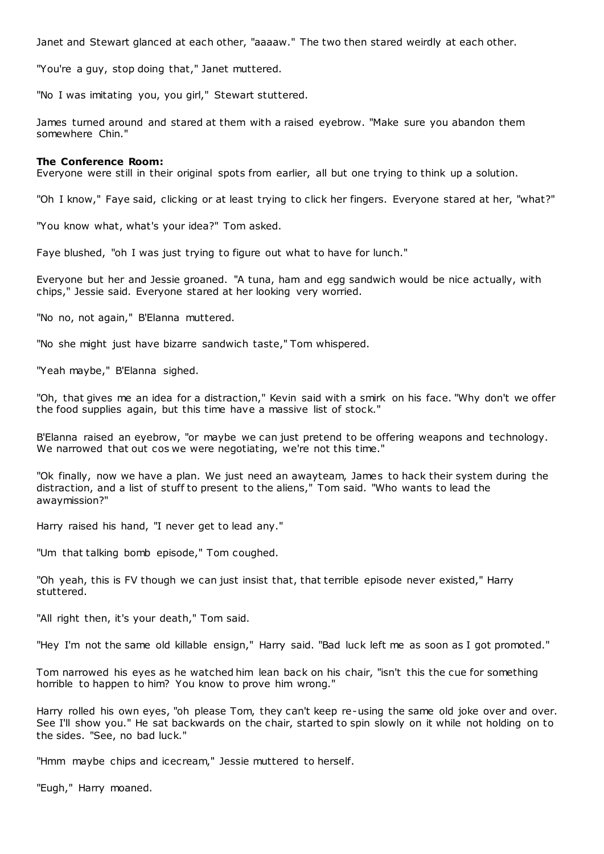Janet and Stewart glanced at each other, "aaaaw." The two then stared weirdly at each other.

"You're a guy, stop doing that," Janet muttered.

"No I was imitating you, you girl," Stewart stuttered.

James turned around and stared at them with a raised eyebrow. "Make sure you abandon them somewhere Chin."

#### **The Conference Room:**

Everyone were still in their original spots from earlier, all but one trying to think up a solution.

"Oh I know," Faye said, clicking or at least trying to click her fingers. Everyone stared at her, "what?"

"You know what, what's your idea?" Tom asked.

Faye blushed, "oh I was just trying to figure out what to have for lunch."

Everyone but her and Jessie groaned. "A tuna, ham and egg sandwich would be nice actually, with chips," Jessie said. Everyone stared at her looking very worried.

"No no, not again," B'Elanna muttered.

"No she might just have bizarre sandwich taste," Tom whispered.

"Yeah maybe," B'Elanna sighed.

"Oh, that gives me an idea for a distraction," Kevin said with a smirk on his face. "Why don't we offer the food supplies again, but this time have a massive list of stock."

B'Elanna raised an eyebrow, "or maybe we can just pretend to be offering weapons and technology. We narrowed that out cos we were negotiating, we're not this time."

"Ok finally, now we have a plan. We just need an awayteam, James to hack their system during the distraction, and a list of stuff to present to the aliens," Tom said. "Who wants to lead the awaymission?"

Harry raised his hand, "I never get to lead any."

"Um that talking bomb episode," Tom coughed.

"Oh yeah, this is FV though we can just insist that, that terrible episode never existed," Harry stuttered.

"All right then, it's your death," Tom said.

"Hey I'm not the same old killable ensign," Harry said. "Bad luck left me as soon as I got promoted."

Tom narrowed his eyes as he watched him lean back on his chair, "isn't this the cue for something horrible to happen to him? You know to prove him wrong."

Harry rolled his own eyes, "oh please Tom, they can't keep re-using the same old joke over and over. See I'll show you." He sat backwards on the chair, started to spin slowly on it while not holding on to the sides. "See, no bad luck."

"Hmm maybe chips and icecream," Jessie muttered to herself.

"Eugh," Harry moaned.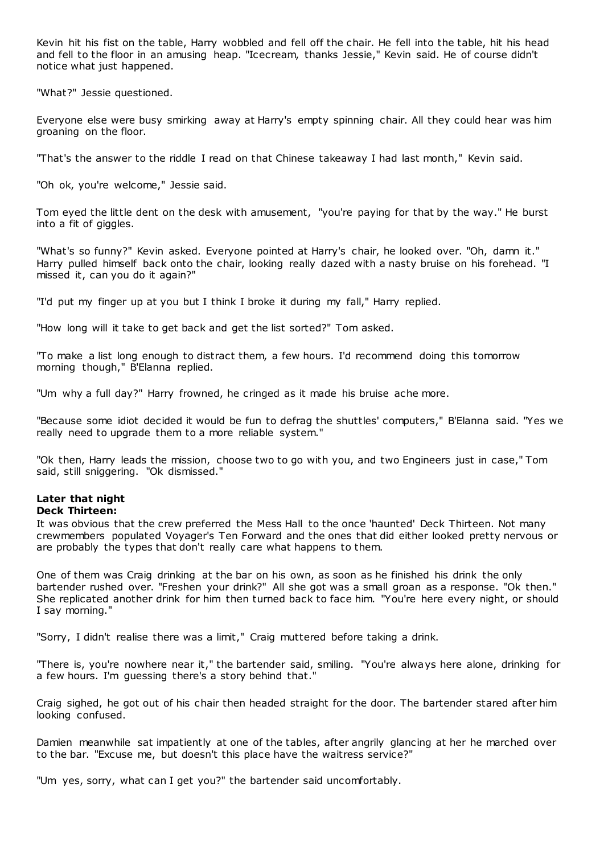Kevin hit his fist on the table, Harry wobbled and fell off the chair. He fell into the table, hit his head and fell to the floor in an amusing heap. "Icecream, thanks Jessie," Kevin said. He of course didn't notice what just happened.

"What?" Jessie questioned.

Everyone else were busy smirking away at Harry's empty spinning chair. All they could hear was him groaning on the floor.

"That's the answer to the riddle I read on that Chinese takeaway I had last month," Kevin said.

"Oh ok, you're welcome," Jessie said.

Tom eyed the little dent on the desk with amusement, "you're paying for that by the way." He burst into a fit of giggles.

"What's so funny?" Kevin asked. Everyone pointed at Harry's chair, he looked over. "Oh, damn it." Harry pulled himself back onto the chair, looking really dazed with a nasty bruise on his forehead. "I missed it, can you do it again?"

"I'd put my finger up at you but I think I broke it during my fall," Harry replied.

"How long will it take to get back and get the list sorted?" Tom asked.

"To make a list long enough to distract them, a few hours. I'd recommend doing this tomorrow morning though," B'Elanna replied.

"Um why a full day?" Harry frowned, he cringed as it made his bruise ache more.

"Because some idiot decided it would be fun to defrag the shuttles' computers," B'Elanna said. "Yes we really need to upgrade them to a more reliable system."

"Ok then, Harry leads the mission, choose two to go with you, and two Engineers just in case," Tom said, still sniggering. "Ok dismissed."

### **Later that night Deck Thirteen:**

It was obvious that the crew preferred the Mess Hall to the once 'haunted' Deck Thirteen. Not many crewmembers populated Voyager's Ten Forward and the ones that did either looked pretty nervous or are probably the types that don't really care what happens to them.

One of them was Craig drinking at the bar on his own, as soon as he finished his drink the only bartender rushed over. "Freshen your drink?" All she got was a small groan as a response. "Ok then." She replicated another drink for him then turned back to face him. "You're here every night, or should I say morning."

"Sorry, I didn't realise there was a limit," Craig muttered before taking a drink.

"There is, you're nowhere near it," the bartender said, smiling. "You're always here alone, drinking for a few hours. I'm guessing there's a story behind that.

Craig sighed, he got out of his chair then headed straight for the door. The bartender stared after him looking confused.

Damien meanwhile sat impatiently at one of the tables, after angrily glancing at her he marched over to the bar. "Excuse me, but doesn't this place have the waitress service?"

"Um yes, sorry, what can I get you?" the bartender said uncomfortably.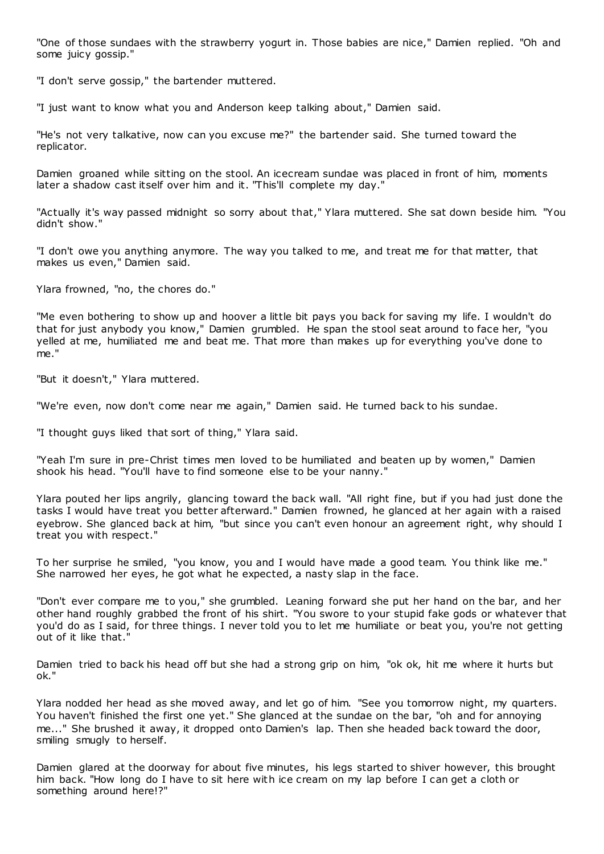"One of those sundaes with the strawberry yogurt in. Those babies are nice," Damien replied. "Oh and some juicy gossip."

"I don't serve gossip," the bartender muttered.

"I just want to know what you and Anderson keep talking about," Damien said.

"He's not very talkative, now can you excuse me?" the bartender said. She turned toward the replicator.

Damien groaned while sitting on the stool. An icecream sundae was placed in front of him, moments later a shadow cast itself over him and it. "This'll complete my day."

"Actually it's way passed midnight so sorry about that," Ylara muttered. She sat down beside him. "You didn't show."

"I don't owe you anything anymore. The way you talked to me, and treat me for that matter, that makes us even," Damien said.

Ylara frowned, "no, the chores do."

"Me even bothering to show up and hoover a little bit pays you back for saving my life. I wouldn't do that for just anybody you know," Damien grumbled. He span the stool seat around to face her, "you yelled at me, humiliated me and beat me. That more than makes up for everything you've done to me."

"But it doesn't," Ylara muttered.

"We're even, now don't come near me again," Damien said. He turned back to his sundae.

"I thought guys liked that sort of thing," Ylara said.

"Yeah I'm sure in pre-Christ times men loved to be humiliated and beaten up by women," Damien shook his head. "You'll have to find someone else to be your nanny."

Ylara pouted her lips angrily, glancing toward the back wall. "All right fine, but if you had just done the tasks I would have treat you better afterward." Damien frowned, he glanced at her again with a raised eyebrow. She glanced back at him, "but since you can't even honour an agreement right, why should I treat you with respect."

To her surprise he smiled, "you know, you and I would have made a good team. You think like me." She narrowed her eyes, he got what he expected, a nasty slap in the face.

"Don't ever compare me to you," she grumbled. Leaning forward she put her hand on the bar, and her other hand roughly grabbed the front of his shirt. "You swore to your stupid fake gods or whatever that you'd do as I said, for three things. I never told you to let me humiliate or beat you, you're not getting out of it like that."

Damien tried to back his head off but she had a strong grip on him, "ok ok, hit me where it hurts but ok."

Ylara nodded her head as she moved away, and let go of him. "See you tomorrow night, my quarters. You haven't finished the first one yet." She glanced at the sundae on the bar, "oh and for annoying me..." She brushed it away, it dropped onto Damien's lap. Then she headed back toward the door, smiling smugly to herself.

Damien glared at the doorway for about five minutes, his legs started to shiver however, this brought him back. "How long do I have to sit here with ice cream on my lap before I can get a cloth or something around here!?"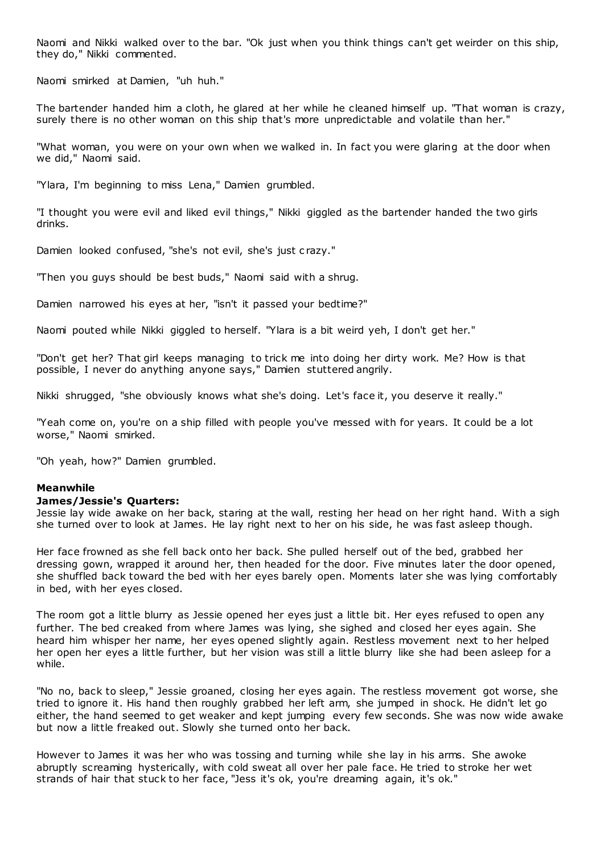Naomi and Nikki walked over to the bar. "Ok just when you think things can't get weirder on this ship, they do," Nikki commented.

Naomi smirked at Damien, "uh huh."

The bartender handed him a cloth, he glared at her while he cleaned himself up. "That woman is crazy, surely there is no other woman on this ship that's more unpredictable and volatile than her."

"What woman, you were on your own when we walked in. In fact you were glaring at the door when we did," Naomi said.

"Ylara, I'm beginning to miss Lena," Damien grumbled.

"I thought you were evil and liked evil things," Nikki giggled as the bartender handed the two girls drinks.

Damien looked confused, "she's not evil, she's just c razy."

"Then you guys should be best buds," Naomi said with a shrug.

Damien narrowed his eyes at her, "isn't it passed your bedtime?"

Naomi pouted while Nikki giggled to herself. "Ylara is a bit weird yeh, I don't get her."

"Don't get her? That girl keeps managing to trick me into doing her dirty work. Me? How is that possible, I never do anything anyone says," Damien stuttered angrily.

Nikki shrugged, "she obviously knows what she's doing. Let's face it, you deserve it really."

"Yeah come on, you're on a ship filled with people you've messed with for years. It could be a lot worse," Naomi smirked.

"Oh yeah, how?" Damien grumbled.

#### **Meanwhile**

#### **James/Jessie's Quarters:**

Jessie lay wide awake on her back, staring at the wall, resting her head on her right hand. With a sigh she turned over to look at James. He lay right next to her on his side, he was fast asleep though.

Her face frowned as she fell back onto her back. She pulled herself out of the bed, grabbed her dressing gown, wrapped it around her, then headed for the door. Five minutes later the door opened, she shuffled back toward the bed with her eyes barely open. Moments later she was lying comfortably in bed, with her eyes closed.

The room got a little blurry as Jessie opened her eyes just a little bit. Her eyes refused to open any further. The bed creaked from where James was lying, she sighed and closed her eyes again. She heard him whisper her name, her eyes opened slightly again. Restless movement next to her helped her open her eyes a little further, but her vision was still a little blurry like she had been asleep for a while.

"No no, back to sleep," Jessie groaned, closing her eyes again. The restless movement got worse, she tried to ignore it. His hand then roughly grabbed her left arm, she jumped in shock. He didn't let go either, the hand seemed to get weaker and kept jumping every few seconds. She was now wide awake but now a little freaked out. Slowly she turned onto her back.

However to James it was her who was tossing and turning while she lay in his arms. She awoke abruptly screaming hysterically, with cold sweat all over her pale face. He tried to stroke her wet strands of hair that stuck to her face, "Jess it's ok, you're dreaming again, it's ok."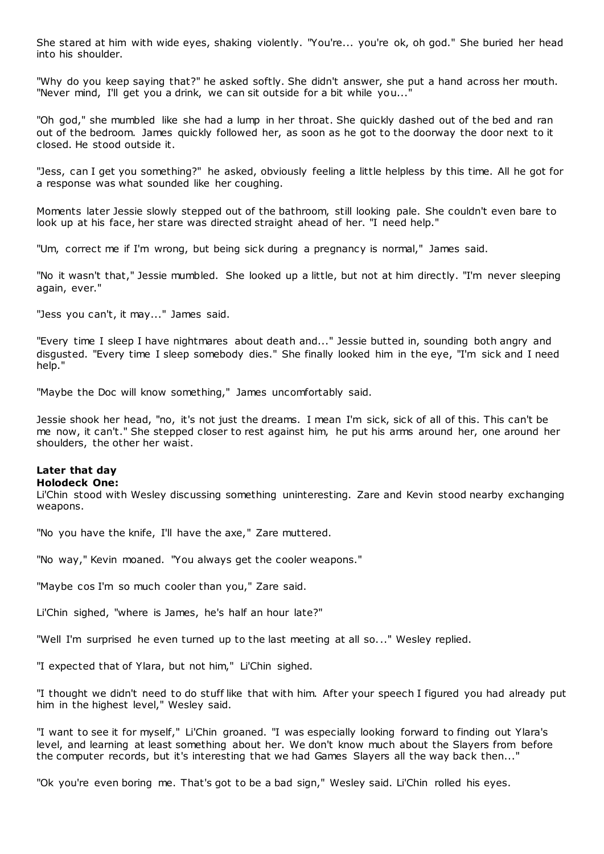She stared at him with wide eyes, shaking violently. "You're... you're ok, oh god." She buried her head into his shoulder.

"Why do you keep saying that?" he asked softly. She didn't answer, she put a hand across her mouth. "Never mind, I'll get you a drink, we can sit outside for a bit while you...'

"Oh god," she mumbled like she had a lump in her throat. She quickly dashed out of the bed and ran out of the bedroom. James quickly followed her, as soon as he got to the doorway the door next to it closed. He stood outside it.

"Jess, can I get you something?" he asked, obviously feeling a little helpless by this time. All he got for a response was what sounded like her coughing.

Moments later Jessie slowly stepped out of the bathroom, still looking pale. She couldn't even bare to look up at his face, her stare was directed straight ahead of her. "I need help."

"Um, correct me if I'm wrong, but being sick during a pregnancy is normal," James said.

"No it wasn't that," Jessie mumbled. She looked up a little, but not at him directly. "I'm never sleeping again, ever."

"Jess you can't, it may..." James said.

"Every time I sleep I have nightmares about death and..." Jessie butted in, sounding both angry and disgusted. "Every time I sleep somebody dies." She finally looked him in the eye, "I'm sick and I need help."

"Maybe the Doc will know something," James uncomfortably said.

Jessie shook her head, "no, it's not just the dreams. I mean I'm sick, sick of all of this. This can't be me now, it can't." She stepped closer to rest against him, he put his arms around her, one around her shoulders, the other her waist.

# **Later that day**

### **Holodeck One:**

Li'Chin stood with Wesley discussing something uninteresting. Zare and Kevin stood nearby exchanging weapons.

"No you have the knife, I'll have the axe," Zare muttered.

"No way," Kevin moaned. "You always get the cooler weapons."

"Maybe cos I'm so much cooler than you," Zare said.

Li'Chin sighed, "where is James, he's half an hour late?"

"Well I'm surprised he even turned up to the last meeting at all so..." Wesley replied.

"I expected that of Ylara, but not him," Li'Chin sighed.

"I thought we didn't need to do stuff like that with him. After your speech I figured you had already put him in the highest level," Wesley said.

"I want to see it for myself," Li'Chin groaned. "I was especially looking forward to finding out Ylara's level, and learning at least something about her. We don't know much about the Slayers from before the computer records, but it's interesting that we had Games Slayers all the way back then..."

"Ok you're even boring me. That's got to be a bad sign," Wesley said. Li'Chin rolled his eyes.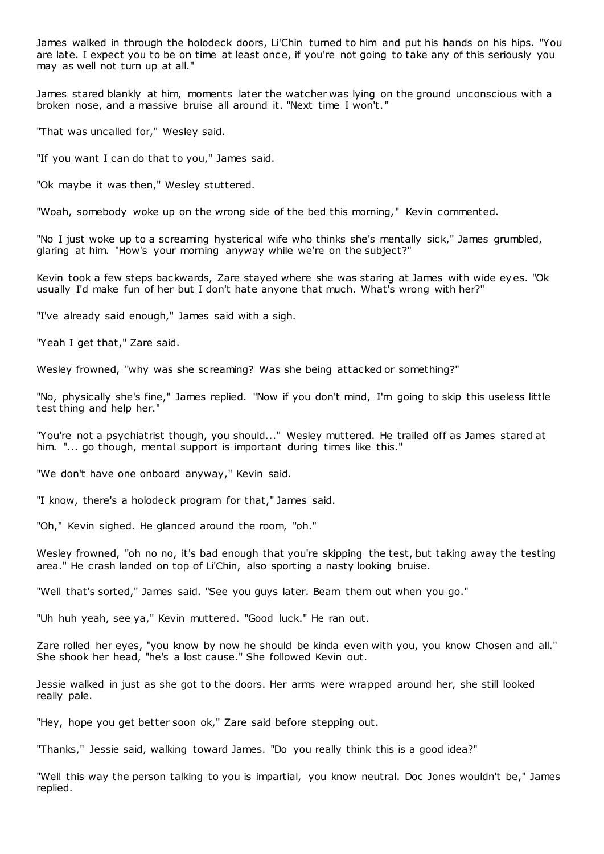James walked in through the holodeck doors, Li'Chin turned to him and put his hands on his hips. "You are late. I expect you to be on time at least once, if you're not going to take any of this seriously you may as well not turn up at all."

James stared blankly at him, moments later the watcher was lying on the ground unconscious with a broken nose, and a massive bruise all around it. "Next time I won't."

"That was uncalled for," Wesley said.

"If you want I can do that to you," James said.

"Ok maybe it was then," Wesley stuttered.

"Woah, somebody woke up on the wrong side of the bed this morning," Kevin commented.

"No I just woke up to a screaming hysterical wife who thinks she's mentally sick," James grumbled, glaring at him. "How's your morning anyway while we're on the subject?"

Kevin took a few steps backwards, Zare stayed where she was staring at James with wide ey es. "Ok usually I'd make fun of her but I don't hate anyone that much. What's wrong with her?"

"I've already said enough," James said with a sigh.

"Yeah I get that," Zare said.

Wesley frowned, "why was she screaming? Was she being attacked or something?"

"No, physically she's fine," James replied. "Now if you don't mind, I'm going to skip this useless little test thing and help her."

"You're not a psychiatrist though, you should..." Wesley muttered. He trailed off as James stared at him. "... go though, mental support is important during times like this."

"We don't have one onboard anyway," Kevin said.

"I know, there's a holodeck program for that," James said.

"Oh," Kevin sighed. He glanced around the room, "oh."

Wesley frowned, "oh no no, it's bad enough that you're skipping the test, but taking away the testing area." He crash landed on top of Li'Chin, also sporting a nasty looking bruise.

"Well that's sorted," James said. "See you guys later. Beam them out when you go."

"Uh huh yeah, see ya," Kevin muttered. "Good luck." He ran out.

Zare rolled her eyes, "you know by now he should be kinda even with you, you know Chosen and all." She shook her head, "he's a lost cause." She followed Kevin out.

Jessie walked in just as she got to the doors. Her arms were wrapped around her, she still looked really pale.

"Hey, hope you get better soon ok," Zare said before stepping out.

"Thanks," Jessie said, walking toward James. "Do you really think this is a good idea?"

"Well this way the person talking to you is impartial, you know neutral. Doc Jones wouldn't be," James replied.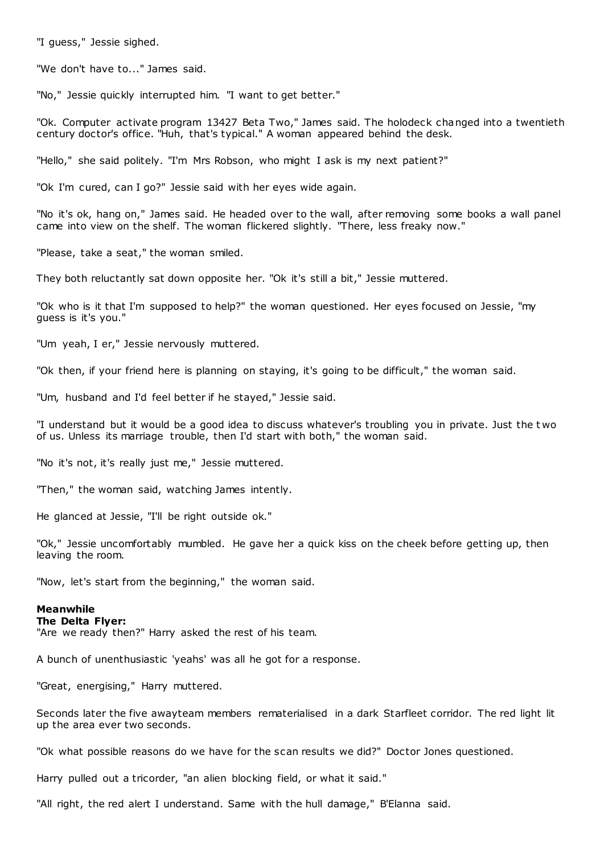"I guess," Jessie sighed.

"We don't have to..." James said.

"No," Jessie quickly interrupted him. "I want to get better."

"Ok. Computer activate program 13427 Beta Two," James said. The holodeck changed into a twentieth century doctor's office. "Huh, that's typical." A woman appeared behind the desk.

"Hello," she said politely. "I'm Mrs Robson, who might I ask is my next patient?"

"Ok I'm cured, can I go?" Jessie said with her eyes wide again.

"No it's ok, hang on," James said. He headed over to the wall, after removing some books a wall panel came into view on the shelf. The woman flickered slightly. "There, less freaky now."

"Please, take a seat," the woman smiled.

They both reluctantly sat down opposite her. "Ok it's still a bit," Jessie muttered.

"Ok who is it that I'm supposed to help?" the woman questioned. Her eyes focused on Jessie, "my guess is it's you."

"Um yeah, I er," Jessie nervously muttered.

"Ok then, if your friend here is planning on staying, it's going to be difficult," the woman said.

"Um, husband and I'd feel better if he stayed," Jessie said.

"I understand but it would be a good idea to discuss whatever's troubling you in private. Just the t wo of us. Unless its marriage trouble, then I'd start with both," the woman said.

"No it's not, it's really just me," Jessie muttered.

"Then," the woman said, watching James intently.

He glanced at Jessie, "I'll be right outside ok."

"Ok," Jessie uncomfortably mumbled. He gave her a quick kiss on the cheek before getting up, then leaving the room.

"Now, let's start from the beginning," the woman said.

#### **Meanwhile**

#### **The Delta Flyer:**

"Are we ready then?" Harry asked the rest of his team.

A bunch of unenthusiastic 'yeahs' was all he got for a response.

"Great, energising," Harry muttered.

Seconds later the five awayteam members rematerialised in a dark Starfleet corridor. The red light lit up the area ever two seconds.

"Ok what possible reasons do we have for the scan results we did?" Doctor Jones questioned.

Harry pulled out a tricorder, "an alien blocking field, or what it said."

"All right, the red alert I understand. Same with the hull damage," B'Elanna said.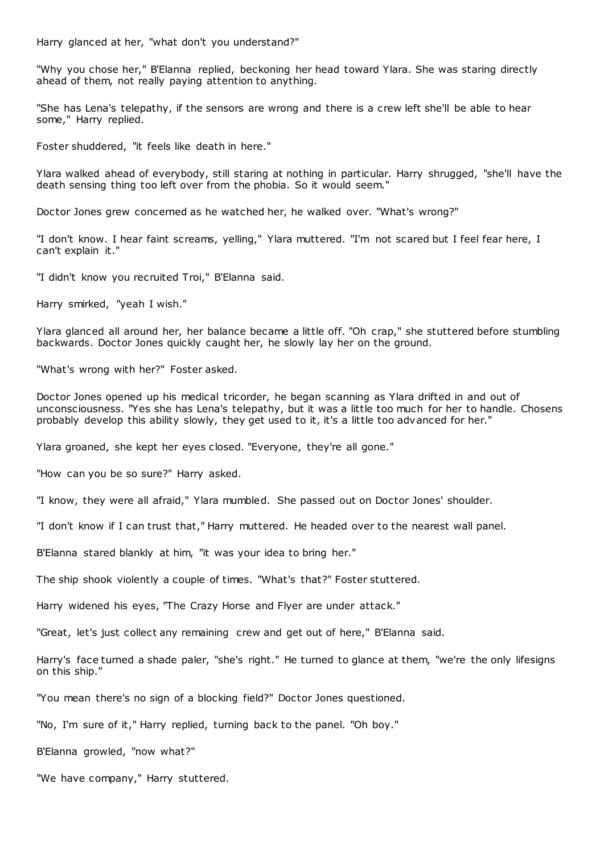Harry glanced at her, "what don't you understand?"

"Why you chose her," B'Elanna replied, beckoning her head toward Ylara. She was staring directly ahead of them, not really paying attention to anything.

"She has Lena's telepathy, if the sensors are wrong and there is a crew left she'll be able to hear some," Harry replied.

Foster shuddered, "it feels like death in here."

Ylara walked ahead of everybody, still staring at nothing in particular. Harry shrugged, "she'll have the death sensing thing too left over from the phobia. So it would seem."

Doctor Jones grew concerned as he watched her, he walked over. "What's wrong?"

"I don't know. I hear faint screams, yelling," Ylara muttered. "I'm not scared but I feel fear here, I can't explain it."

"I didn't know you recruited Troi," B'Elanna said.

Harry smirked, "yeah I wish."

Ylara glanced all around her, her balance became a little off. "Oh crap," she stuttered before stumbling backwards. Doctor Jones quickly caught her, he slowly lay her on the ground.

"What's wrong with her?" Foster asked.

Doctor Jones opened up his medical tricorder, he began scanning as Ylara drifted in and out of unconsciousness. "Yes she has Lena's telepathy, but it was a little too much for her to handle. Chosens probably develop this ability slowly, they get used to it, it's a little too advanced for her."

Ylara groaned, she kept her eyes closed. "Everyone, they're all gone."

"How can you be so sure?" Harry asked.

"I know, they were all afraid," Ylara mumbled. She passed out on Doctor Jones' shoulder.

"I don't know if I can trust that," Harry muttered. He headed over to the nearest wall panel.

B'Elanna stared blankly at him, "it was your idea to bring her."

The ship shook violently a couple of times. "What's that?" Foster stuttered.

Harry widened his eyes, "The Crazy Horse and Flyer are under attack."

"Great, let's just collect any remaining crew and get out of here," B'Elanna said.

Harry's face turned a shade paler, "she's right." He turned to glance at them, "we're the only lifesigns on this ship."

"You mean there's no sign of a blocking field?" Doctor Jones questioned.

"No, I'm sure of it," Harry replied, turning back to the panel. "Oh boy."

B'Elanna growled, "now what?"

"We have company," Harry stuttered.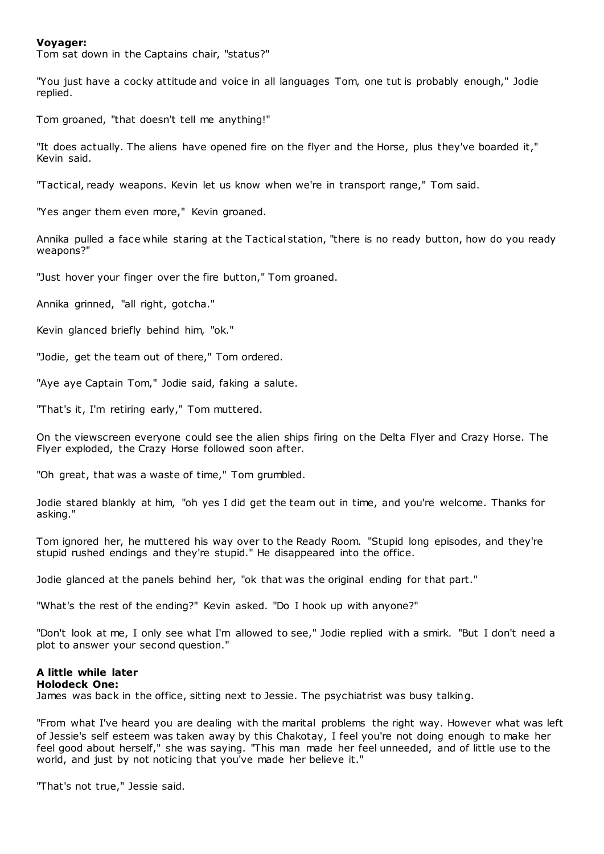### **Voyager:**

Tom sat down in the Captains chair, "status?"

"You just have a cocky attitude and voice in all languages Tom, one tut is probably enough," Jodie replied.

Tom groaned, "that doesn't tell me anything!"

"It does actually. The aliens have opened fire on the flyer and the Horse, plus they've boarded it," Kevin said.

"Tactical, ready weapons. Kevin let us know when we're in transport range," Tom said.

"Yes anger them even more," Kevin groaned.

Annika pulled a face while staring at the Tactical station, "there is no ready button, how do you ready weapons?"

"Just hover your finger over the fire button," Tom groaned.

Annika grinned, "all right, gotcha."

Kevin glanced briefly behind him, "ok."

"Jodie, get the team out of there," Tom ordered.

"Aye aye Captain Tom," Jodie said, faking a salute.

"That's it, I'm retiring early," Tom muttered.

On the viewscreen everyone could see the alien ships firing on the Delta Flyer and Crazy Horse. The Flyer exploded, the Crazy Horse followed soon after.

"Oh great, that was a waste of time," Tom grumbled.

Jodie stared blankly at him, "oh yes I did get the team out in time, and you're welcome. Thanks for asking."

Tom ignored her, he muttered his way over to the Ready Room. "Stupid long episodes, and they're stupid rushed endings and they're stupid." He disappeared into the office.

Jodie glanced at the panels behind her, "ok that was the original ending for that part."

"What's the rest of the ending?" Kevin asked. "Do I hook up with anyone?"

"Don't look at me, I only see what I'm allowed to see," Jodie replied with a smirk. "But I don't need a plot to answer your second question."

# **A little while later**

### **Holodeck One:**

James was back in the office, sitting next to Jessie. The psychiatrist was busy talking.

"From what I've heard you are dealing with the marital problems the right way. However what was left of Jessie's self esteem was taken away by this Chakotay, I feel you're not doing enough to make her feel good about herself," she was saying. "This man made her feel unneeded, and of little use to the world, and just by not noticing that you've made her believe it."

"That's not true," Jessie said.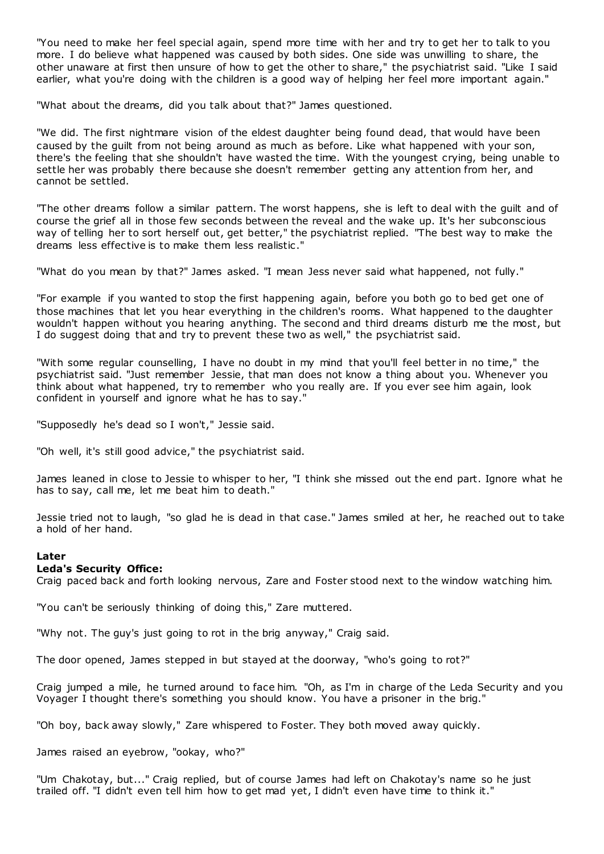"You need to make her feel special again, spend more time with her and try to get her to talk to you more. I do believe what happened was caused by both sides. One side was unwilling to share, the other unaware at first then unsure of how to get the other to share," the psychiatrist said. "Like I said earlier, what you're doing with the children is a good way of helping her feel more important again."

"What about the dreams, did you talk about that?" James questioned.

"We did. The first nightmare vision of the eldest daughter being found dead, that would have been caused by the guilt from not being around as much as before. Like what happened with your son, there's the feeling that she shouldn't have wasted the time. With the youngest crying, being unable to settle her was probably there because she doesn't remember getting any attention from her, and cannot be settled.

"The other dreams follow a similar pattern. The worst happens, she is left to deal with the guilt and of course the grief all in those few seconds between the reveal and the wake up. It's her subconscious way of telling her to sort herself out, get better," the psychiatrist replied. "The best way to make the dreams less effective is to make them less realistic ."

"What do you mean by that?" James asked. "I mean Jess never said what happened, not fully."

"For example if you wanted to stop the first happening again, before you both go to bed get one of those machines that let you hear everything in the children's rooms. What happened to the daughter wouldn't happen without you hearing anything. The second and third dreams disturb me the most, but I do suggest doing that and try to prevent these two as well," the psychiatrist said.

"With some regular counselling, I have no doubt in my mind that you'll feel better in no time," the psychiatrist said. "Just remember Jessie, that man does not know a thing about you. Whenever you think about what happened, try to remember who you really are. If you ever see him again, look confident in yourself and ignore what he has to say."

"Supposedly he's dead so I won't," Jessie said.

"Oh well, it's still good advice," the psychiatrist said.

James leaned in close to Jessie to whisper to her, "I think she missed out the end part. Ignore what he has to say, call me, let me beat him to death."

Jessie tried not to laugh, "so glad he is dead in that case." James smiled at her, he reached out to take a hold of her hand.

### **Later**

### **Leda's Security Office:**

Craig paced back and forth looking nervous, Zare and Foster stood next to the window watching him.

"You can't be seriously thinking of doing this," Zare muttered.

"Why not. The guy's just going to rot in the brig anyway," Craig said.

The door opened, James stepped in but stayed at the doorway, "who's going to rot?"

Craig jumped a mile, he turned around to face him. "Oh, as I'm in charge of the Leda Security and you Voyager I thought there's something you should know. You have a prisoner in the brig."

"Oh boy, back away slowly," Zare whispered to Foster. They both moved away quickly.

James raised an eyebrow, "ookay, who?"

"Um Chakotay, but..." Craig replied, but of course James had left on Chakotay's name so he just trailed off. "I didn't even tell him how to get mad yet, I didn't even have time to think it."